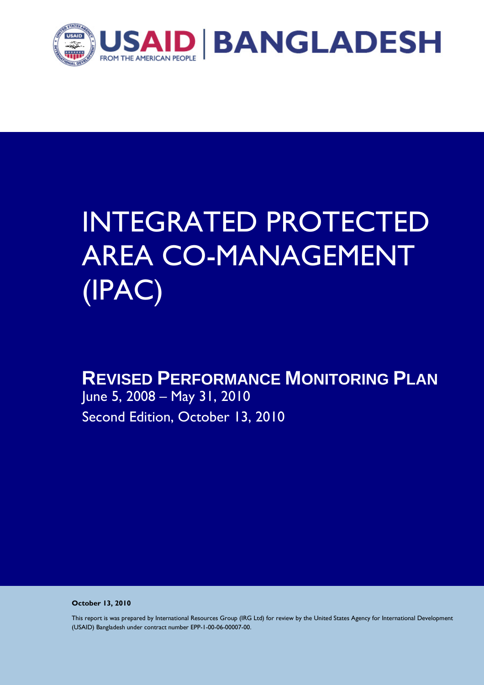

# INTEGRATED PROTECTED AREA CO-MANAGEMENT (IPAC)

# **REVISED PERFORMANCE MONITORING PLAN**

June 5, 2008 – May 31, 2010 Second Edition, October 13, 2010

**October 13, 2010** 

This report is was prepared by International Resources Group (IRG Ltd) for review by the United States Agency for International Development (USAID) Bangladesh under contract number EPP-1-00-06-00007-00.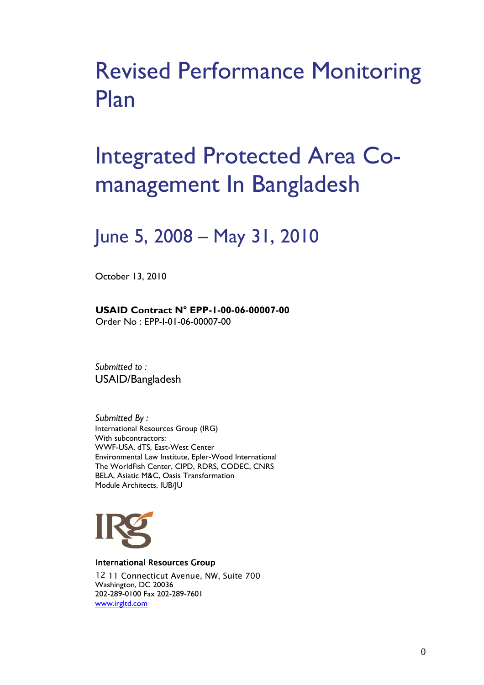# Revised Performance Monitoring Plan

# Integrated Protected Area Comanagement In Bangladesh

# June 5, 2008 – May 31, 2010

October 13, 2010

**USAID Contract N° EPP-1-00-06-00007-00**  Order No : EPP-I-01-06-00007-00

*Submitted to :*  USAID/Bangladesh

*Submitted By :* International Resources Group (IRG) With subcontractors: WWF-USA, dTS, East-West Center Environmental Law Institute, Epler-Wood International The WorldFish Center, CIPD, RDRS, CODEC, CNRS BELA, Asiatic M&C, Oasis Transformation Module Architects, IUB/JU



International Resources Group

12 11 Connecticut Avenue, NW, Suite 700 Washington, DC 20036 202-289-0100 Fax 202-289-7601 www.irgltd.com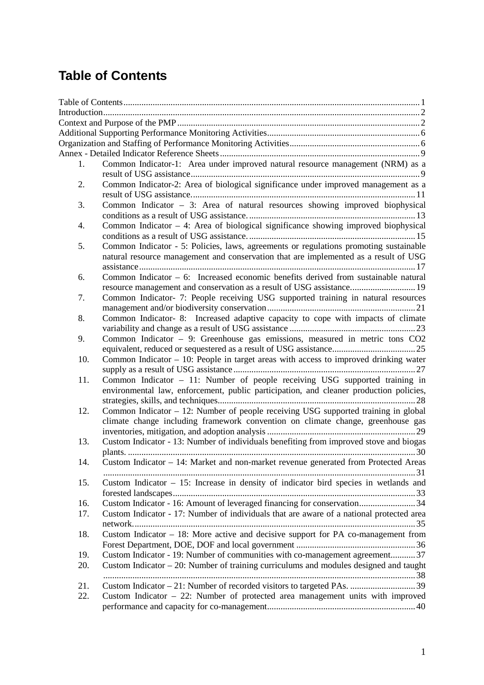# **Table of Contents**

| 1.  | Common Indicator-1: Area under improved natural resource management (NRM) as a                                                                                                |
|-----|-------------------------------------------------------------------------------------------------------------------------------------------------------------------------------|
| 2.  | Common Indicator-2: Area of biological significance under improved management as a                                                                                            |
| 3.  | Common Indicator $-3$ : Area of natural resources showing improved biophysical                                                                                                |
| 4.  | Common Indicator - 4: Area of biological significance showing improved biophysical                                                                                            |
|     |                                                                                                                                                                               |
| 5.  | Common Indicator - 5: Policies, laws, agreements or regulations promoting sustainable<br>natural resource management and conservation that are implemented as a result of USG |
|     |                                                                                                                                                                               |
| 6.  | Common Indicator $-6$ : Increased economic benefits derived from sustainable natural<br>resource management and conservation as a result of USG assistance 19                 |
| 7.  | Common Indicator- 7: People receiving USG supported training in natural resources                                                                                             |
| 8.  | Common Indicator-8: Increased adaptive capacity to cope with impacts of climate                                                                                               |
| 9.  | Common Indicator - 9: Greenhouse gas emissions, measured in metric tons CO2                                                                                                   |
| 10. |                                                                                                                                                                               |
|     | Common Indicator - 10: People in target areas with access to improved drinking water                                                                                          |
| 11. | Common Indicator - 11: Number of people receiving USG supported training in<br>environmental law, enforcement, public participation, and cleaner production policies,         |
| 12. | Common Indicator - 12: Number of people receiving USG supported training in global<br>climate change including framework convention on climate change, greenhouse gas         |
| 13. | Custom Indicator - 13: Number of individuals benefiting from improved stove and biogas                                                                                        |
| 14. | Custom Indicator - 14: Market and non-market revenue generated from Protected Areas                                                                                           |
| 15. | Custom Indicator $-15$ : Increase in density of indicator bird species in wetlands and                                                                                        |
| 16. | Custom Indicator - 16: Amount of leveraged financing for conservation34                                                                                                       |
| 17. | Custom Indicator - 17: Number of individuals that are aware of a national protected area                                                                                      |
|     |                                                                                                                                                                               |
| 18. | Custom Indicator $-18$ : More active and decisive support for PA co-management from                                                                                           |
| 19. | Custom Indicator - 19: Number of communities with co-management agreement 37                                                                                                  |
| 20. | Custom Indicator $-20$ : Number of training curriculums and modules designed and taught                                                                                       |
| 21. |                                                                                                                                                                               |
| 22. | Custom Indicator $-22$ : Number of protected area management units with improved                                                                                              |
|     |                                                                                                                                                                               |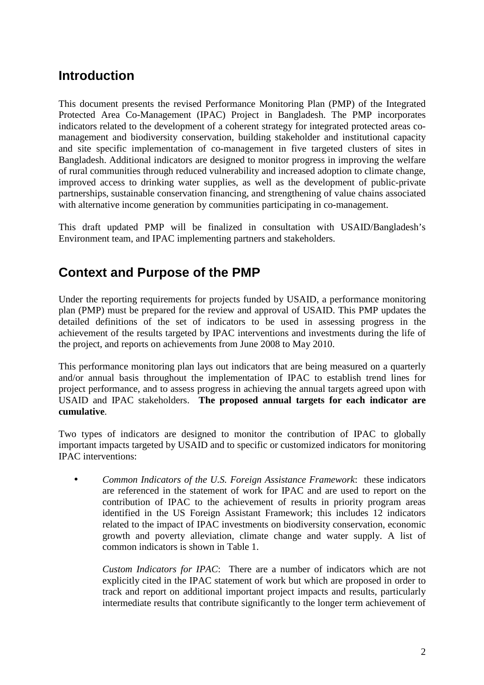# **Introduction**

This document presents the revised Performance Monitoring Plan (PMP) of the Integrated Protected Area Co-Management (IPAC) Project in Bangladesh. The PMP incorporates indicators related to the development of a coherent strategy for integrated protected areas comanagement and biodiversity conservation, building stakeholder and institutional capacity and site specific implementation of co-management in five targeted clusters of sites in Bangladesh. Additional indicators are designed to monitor progress in improving the welfare of rural communities through reduced vulnerability and increased adoption to climate change, improved access to drinking water supplies, as well as the development of public-private partnerships, sustainable conservation financing, and strengthening of value chains associated with alternative income generation by communities participating in co-management.

This draft updated PMP will be finalized in consultation with USAID/Bangladesh's Environment team, and IPAC implementing partners and stakeholders.

# **Context and Purpose of the PMP**

Under the reporting requirements for projects funded by USAID, a performance monitoring plan (PMP) must be prepared for the review and approval of USAID. This PMP updates the detailed definitions of the set of indicators to be used in assessing progress in the achievement of the results targeted by IPAC interventions and investments during the life of the project, and reports on achievements from June 2008 to May 2010.

This performance monitoring plan lays out indicators that are being measured on a quarterly and/or annual basis throughout the implementation of IPAC to establish trend lines for project performance, and to assess progress in achieving the annual targets agreed upon with USAID and IPAC stakeholders. **The proposed annual targets for each indicator are cumulative**.

Two types of indicators are designed to monitor the contribution of IPAC to globally important impacts targeted by USAID and to specific or customized indicators for monitoring IPAC interventions:

• *Common Indicators of the U.S. Foreign Assistance Framework*: these indicators are referenced in the statement of work for IPAC and are used to report on the contribution of IPAC to the achievement of results in priority program areas identified in the US Foreign Assistant Framework; this includes 12 indicators related to the impact of IPAC investments on biodiversity conservation, economic growth and poverty alleviation, climate change and water supply. A list of common indicators is shown in Table 1.

*Custom Indicators for IPAC*: There are a number of indicators which are not explicitly cited in the IPAC statement of work but which are proposed in order to track and report on additional important project impacts and results, particularly intermediate results that contribute significantly to the longer term achievement of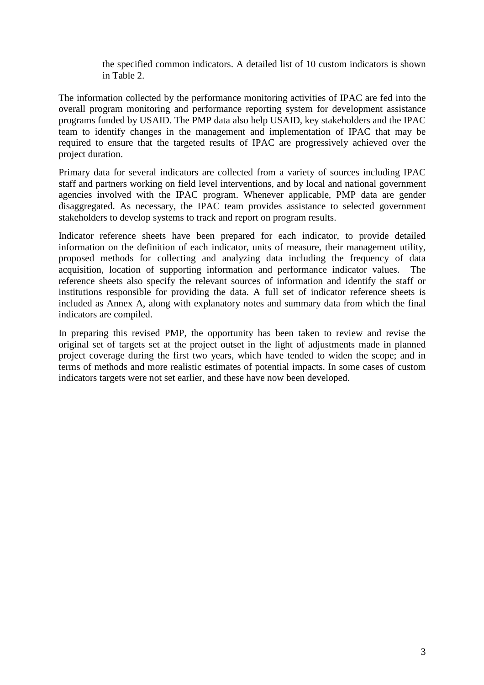the specified common indicators. A detailed list of 10 custom indicators is shown in Table 2.

The information collected by the performance monitoring activities of IPAC are fed into the overall program monitoring and performance reporting system for development assistance programs funded by USAID. The PMP data also help USAID, key stakeholders and the IPAC team to identify changes in the management and implementation of IPAC that may be required to ensure that the targeted results of IPAC are progressively achieved over the project duration.

Primary data for several indicators are collected from a variety of sources including IPAC staff and partners working on field level interventions, and by local and national government agencies involved with the IPAC program. Whenever applicable, PMP data are gender disaggregated. As necessary, the IPAC team provides assistance to selected government stakeholders to develop systems to track and report on program results.

Indicator reference sheets have been prepared for each indicator, to provide detailed information on the definition of each indicator, units of measure, their management utility, proposed methods for collecting and analyzing data including the frequency of data acquisition, location of supporting information and performance indicator values. The reference sheets also specify the relevant sources of information and identify the staff or institutions responsible for providing the data. A full set of indicator reference sheets is included as Annex A, along with explanatory notes and summary data from which the final indicators are compiled.

In preparing this revised PMP, the opportunity has been taken to review and revise the original set of targets set at the project outset in the light of adjustments made in planned project coverage during the first two years, which have tended to widen the scope; and in terms of methods and more realistic estimates of potential impacts. In some cases of custom indicators targets were not set earlier, and these have now been developed.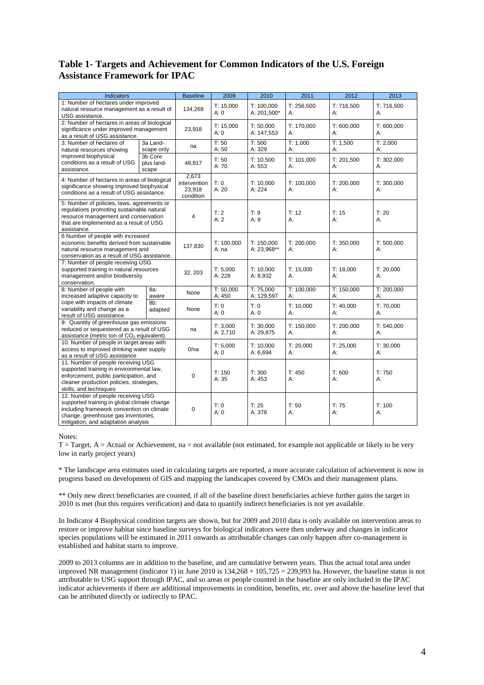## **Table 1- Targets and Achievement for Common Indicators of the U.S. Foreign Assistance Framework for IPAC**

| Indicators                                                                                                                                                                                                   | <b>Baseline</b>                | 2009                                         | 2010                      | 2011                      | 2012             | 2013             |                  |
|--------------------------------------------------------------------------------------------------------------------------------------------------------------------------------------------------------------|--------------------------------|----------------------------------------------|---------------------------|---------------------------|------------------|------------------|------------------|
| 1: Number of hectares under improved<br>natural resource management as a result of<br>USG assistance.                                                                                                        | 134,268                        | T: 15,000<br>A:0                             | T: 100,000<br>A: 201,500* | T: 256,500<br>А:          | T: 716,500<br>А: | T: 716,500<br>А: |                  |
| 2: Number of hectares in areas of biological<br>significance under improved management<br>as a result of USG assistance.                                                                                     |                                | 23,918                                       | T: 15,000<br>A:0          | T: 50,000<br>A: 147,553   | T: 170,000<br>А: | T: 600,000<br>А: | T: 600,000<br>А: |
| 3: Number of hectares of<br>natural resources showing                                                                                                                                                        | 3a Land-<br>scape only         | na                                           | T: 50<br>A:50             | T: 500<br>A: 329          | T: 1,000<br>А:   | T: 1,500<br>А:   | T: 2,000<br>А:   |
| improved biophysical<br>conditions as a result of USG<br>assistance.                                                                                                                                         | 3b Core<br>plus land-<br>scape | 48,817                                       | T: 50<br>A:70             | T: 10,500<br>A: 553       | T: 101,000<br>А: | T: 201,500<br>А: | T: 302,000<br>А: |
| 4: Number of hectares in areas of biological<br>significance showing improved biophysical<br>conditions as a result of USG assistance.                                                                       |                                | 2.673<br>intervention<br>23,918<br>condition | T: 0<br>A:20              | T: 10.000<br>A: 224       | T: 100.000<br>А: | T: 200,000<br>А: | T: 300.000<br>А: |
| 5: Number of policies, laws, agreements or<br>regulations promoting sustainable natural<br>resource management and conservation<br>that are implemented as a result of USG<br>assistance.                    |                                | 4                                            | T:2<br>A:2                | T:9<br>A:9                | T: 12<br>А:      | T: 15<br>А:      | T: 20<br>А:      |
| 6 Number of people with increased<br>economic benefits derived from sustainable<br>natural resource management and<br>conservation as a result of USG assistance.                                            |                                | 137,830                                      | T: 100.000<br>A:na        | T: 150.000<br>A: 23,968** | T: 200,000<br>А: | T: 350,000<br>А: | T: 500,000<br>А: |
| 7: Number of people receiving USG<br>supported training in natural resources<br>management and/or biodiversity<br>conservation.                                                                              |                                | 32, 203                                      | T: 5,000<br>A: 228        | T: 10,000<br>A: 8,932     | T: 15,000<br>А:  | T: 18,000<br>А:  | T: 20,000<br>А:  |
| 8: Number of people with<br>increased adaptive capacity to                                                                                                                                                   | 8a:<br>aware                   |                                              | T: 50,000<br>A: 450       | T: 75,000<br>A: 129,597   | T: 100,000<br>А: | T: 150,000<br>А: | T: 200,000<br>А: |
| cope with impacts of climate<br>variability and change as a<br>result of USG assistance.                                                                                                                     | 8b:<br>adapted                 | None                                         | T: 0<br>A:0               | T: 0<br>A: 0              | T: 10,000<br>А:  | T: 40,000<br>А:  | T: 70,000<br>А:  |
| 9: Quantity of greenhouse gas emissions<br>reduced or sequestered as a result of USG<br>assistance (metric ton of CO <sub>2</sub> equivalent).                                                               |                                | na                                           | T: 3,000<br>A: 2,710      | T: 30,000<br>A: 29,875    | T: 150,000<br>А: | T: 200,000<br>А: | T: 540,000<br>А: |
| 10. Number of people in target areas with<br>access to improved drinking water supply<br>as a result of USG assistance                                                                                       | 0/na                           | T: 5,000<br>A:0                              | T: 10,000<br>A: 6,694     | T: 20,000<br>А:           | T: 25,000<br>А:  | T: 30,000<br>A:  |                  |
| 11. Number of people receiving USG<br>supported training in environmental law,<br>enforcement, public participation, and<br>cleaner production policies, strategies,<br>skills, and techniques               |                                | 0                                            | T: 150<br>A:35            | T: 300<br>A: 453          | T: 450<br>А:     | T: 600<br>А:     | T:750<br>А:      |
| 12. Number of people receiving USG<br>supported training in global climate change<br>including framework convention on climate<br>change, greenhouse gas inventories,<br>mitigation, and adaptation analysis |                                | 0                                            | T: 0<br>A:0               | T: 25<br>A: 378           | T: 50<br>А:      | T: 75<br>А:      | T: 100<br>A:     |

Notes:

 $T = Target, A = Actual$  or Achievement, na = not available (not estimated, for example not applicable or likely to be very low in early project years)

\* The landscape area estimates used in calculating targets are reported, a more accurate calculation of achievement is now in progress based on development of GIS and mapping the landscapes covered by CMOs and their management plans.

\*\* Only new direct beneficiaries are counted, if all of the baseline direct beneficiaries achieve further gains the target in 2010 is met (but this requires verification) and data to quantify indirect beneficiaries is not yet available.

In Indicator 4 Biophysical condition targets are shown, but for 2009 and 2010 data is only available on intervention areas to restore or improve habitat since baseline surveys for biological indicators were then underway and changes in indicator species populations will be estimated in 2011 onwards as attributable changes can only happen after co-management is established and habitat starts to improve.

2009 to 2013 columns are in addition to the baseline, and are cumulative between years. Thus the actual total area under improved NR management (indicator 1) in June 2010 is  $134,268 + 105,725 = 239,993$  ha. However, the baseline status is not attributable to USG support through IPAC, and so areas or people counted in the baseline are only included in the IPAC indicator achievements if there are additional improvements in condition, benefits, etc. over and above the baseline level that can be attributed directly or indirectly to IPAC.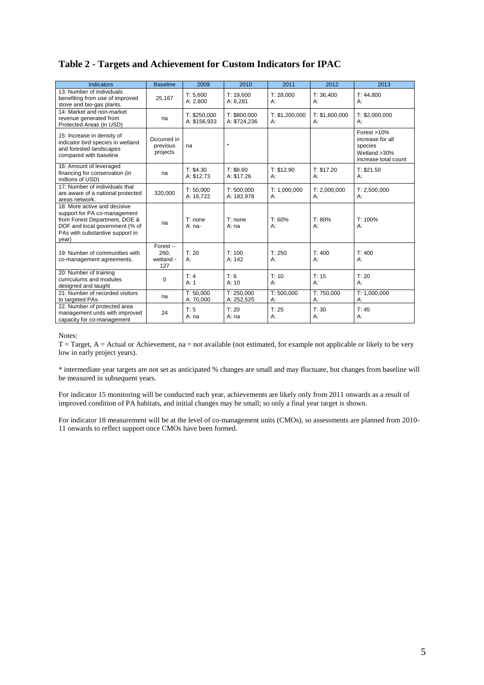### **Table 2 - Targets and Achievement for Custom Indicators for IPAC**

| <b>Indicators</b>                                                                                                                                                           | <b>Baseline</b>                        | 2009                         | 2010                         | 2011                 | 2012                 | 2013                                                                                     |
|-----------------------------------------------------------------------------------------------------------------------------------------------------------------------------|----------------------------------------|------------------------------|------------------------------|----------------------|----------------------|------------------------------------------------------------------------------------------|
| 13: Number of individuals<br>benefiting from use of improved<br>stove and bio-gas plants.                                                                                   | 25,167                                 | T: 5,600<br>A: 2,800         | T: 19,600<br>A: 6,281        | T: 28,000<br>А:      | T: 36,400<br>А:      | T: 44,800<br>А:                                                                          |
| 14: Market and non-market<br>revenue generated from<br>Protected Areas (in USD)                                                                                             | na                                     | T: \$250,000<br>A: \$156,933 | T: \$800,000<br>A: \$724,236 | T: \$1,200,000<br>А: | T: \$1,600,000<br>A: | T: \$2,000,000<br>$A$ :                                                                  |
| 15: Increase in density of<br>indicator bird species in wetland<br>and forested landscapes<br>compared with baseline                                                        | Occurred in<br>previous<br>projects    | na                           | $\star$                      |                      |                      | Forest $>10\%$<br>increase for all<br>species<br>Wetland $>30\%$<br>increase total count |
| 16: Amount of leveraged<br>financing for conservation (in<br>millions of USD)                                                                                               | na                                     | T: \$4.30<br>A: \$12.73      | T: \$8.60<br>A: \$17.26      | T: \$12.90<br>$A$ :  | T: \$17.20<br>A:     | T: \$21.50<br>$A$ :                                                                      |
| 17: Number of individuals that<br>are aware of a national protected<br>areas network.                                                                                       | 320,000                                | T: 50,000<br>A: 16,722       | T: 500,000<br>A: 182.978     | T: 1,000,000<br>А:   | T: 2,000,000<br>А:   | T: 2,500,000<br>A:                                                                       |
| 18: More active and decisive<br>support for PA co-management<br>from Forest Department, DOE &<br>DOF and local government (% of<br>PAs with substantive support in<br>year) | na                                     | T: none<br>$A: na-$          | T: none<br>A: na             | T: 60%<br>$A$ :      | T: 80%<br>А:         | T: 100%<br>$A$ :                                                                         |
| 19: Number of communities with<br>co-management agreements.                                                                                                                 | $Forest -$<br>260;<br>wetland -<br>127 | T: 20<br>$A$ :               | T: 100<br>A: 142             | T: 250<br>А:         | T: 400<br>А:         | T: 400<br>А:                                                                             |
| 20: Number of training<br>curriculums and modules<br>designed and taught                                                                                                    | 0                                      | T: 4<br>A: 1                 | T:6<br>A: 10                 | T: 10<br>А:          | T: 15<br>А:          | T: 20<br>A:                                                                              |
| 21: Number of recorded visitors<br>to targeted PAs.                                                                                                                         | na                                     | T: 50,000<br>A: 70,000       | T: 250,000<br>A: 252,525     | T: 500,000<br>A:     | T: 750,000<br>А:     | T: 1,000,000<br>A:                                                                       |
| 22. Number of protected area<br>management units with improved<br>capacity for co-management                                                                                | 24                                     | T: 5<br>A: na                | T: 20<br>A: na               | T: 25<br>А:          | T: 30<br>А:          | T: 45<br>A:                                                                              |

Notes:

 $T = Target, A = Actual or Achievement, na = not available (not estimated, for example not applicable or likely to be very$ low in early project years).

\* intermediate year targets are not set as anticipated % changes are small and may fluctuate, but changes from baseline will be measured in subsequent years.

For indicator 15 monitoring will be conducted each year, achievements are likely only from 2011 onwards as a result of improved condition of PA habitats, and initial changes may be small; so only a final year target is shown.

For indicator 18 measurement will be at the level of co-management units (CMOs), so assessments are planned from 2010- 11 onwards to reflect support once CMOs have been formed.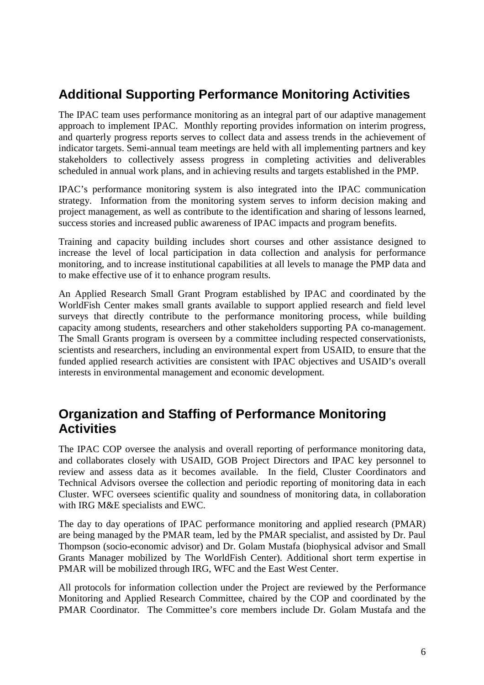# **Additional Supporting Performance Monitoring Activities**

The IPAC team uses performance monitoring as an integral part of our adaptive management approach to implement IPAC. Monthly reporting provides information on interim progress, and quarterly progress reports serves to collect data and assess trends in the achievement of indicator targets. Semi-annual team meetings are held with all implementing partners and key stakeholders to collectively assess progress in completing activities and deliverables scheduled in annual work plans, and in achieving results and targets established in the PMP.

IPAC's performance monitoring system is also integrated into the IPAC communication strategy. Information from the monitoring system serves to inform decision making and project management, as well as contribute to the identification and sharing of lessons learned, success stories and increased public awareness of IPAC impacts and program benefits.

Training and capacity building includes short courses and other assistance designed to increase the level of local participation in data collection and analysis for performance monitoring, and to increase institutional capabilities at all levels to manage the PMP data and to make effective use of it to enhance program results.

An Applied Research Small Grant Program established by IPAC and coordinated by the WorldFish Center makes small grants available to support applied research and field level surveys that directly contribute to the performance monitoring process, while building capacity among students, researchers and other stakeholders supporting PA co-management. The Small Grants program is overseen by a committee including respected conservationists, scientists and researchers, including an environmental expert from USAID, to ensure that the funded applied research activities are consistent with IPAC objectives and USAID's overall interests in environmental management and economic development.

# **Organization and Staffing of Performance Monitoring Activities**

The IPAC COP oversee the analysis and overall reporting of performance monitoring data, and collaborates closely with USAID, GOB Project Directors and IPAC key personnel to review and assess data as it becomes available. In the field, Cluster Coordinators and Technical Advisors oversee the collection and periodic reporting of monitoring data in each Cluster. WFC oversees scientific quality and soundness of monitoring data, in collaboration with IRG M&E specialists and EWC.

The day to day operations of IPAC performance monitoring and applied research (PMAR) are being managed by the PMAR team, led by the PMAR specialist, and assisted by Dr. Paul Thompson (socio-economic advisor) and Dr. Golam Mustafa (biophysical advisor and Small Grants Manager mobilized by The WorldFish Center). Additional short term expertise in PMAR will be mobilized through IRG, WFC and the East West Center.

All protocols for information collection under the Project are reviewed by the Performance Monitoring and Applied Research Committee, chaired by the COP and coordinated by the PMAR Coordinator. The Committee's core members include Dr. Golam Mustafa and the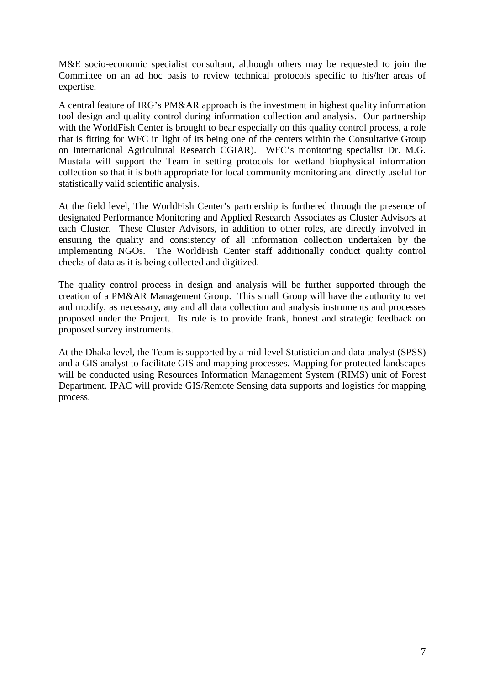M&E socio-economic specialist consultant, although others may be requested to join the Committee on an ad hoc basis to review technical protocols specific to his/her areas of expertise.

A central feature of IRG's PM&AR approach is the investment in highest quality information tool design and quality control during information collection and analysis. Our partnership with the WorldFish Center is brought to bear especially on this quality control process, a role that is fitting for WFC in light of its being one of the centers within the Consultative Group on International Agricultural Research CGIAR). WFC's monitoring specialist Dr. M.G. Mustafa will support the Team in setting protocols for wetland biophysical information collection so that it is both appropriate for local community monitoring and directly useful for statistically valid scientific analysis.

At the field level, The WorldFish Center's partnership is furthered through the presence of designated Performance Monitoring and Applied Research Associates as Cluster Advisors at each Cluster. These Cluster Advisors, in addition to other roles, are directly involved in ensuring the quality and consistency of all information collection undertaken by the implementing NGOs. The WorldFish Center staff additionally conduct quality control checks of data as it is being collected and digitized.

The quality control process in design and analysis will be further supported through the creation of a PM&AR Management Group. This small Group will have the authority to vet and modify, as necessary, any and all data collection and analysis instruments and processes proposed under the Project. Its role is to provide frank, honest and strategic feedback on proposed survey instruments.

At the Dhaka level, the Team is supported by a mid-level Statistician and data analyst (SPSS) and a GIS analyst to facilitate GIS and mapping processes. Mapping for protected landscapes will be conducted using Resources Information Management System (RIMS) unit of Forest Department. IPAC will provide GIS/Remote Sensing data supports and logistics for mapping process.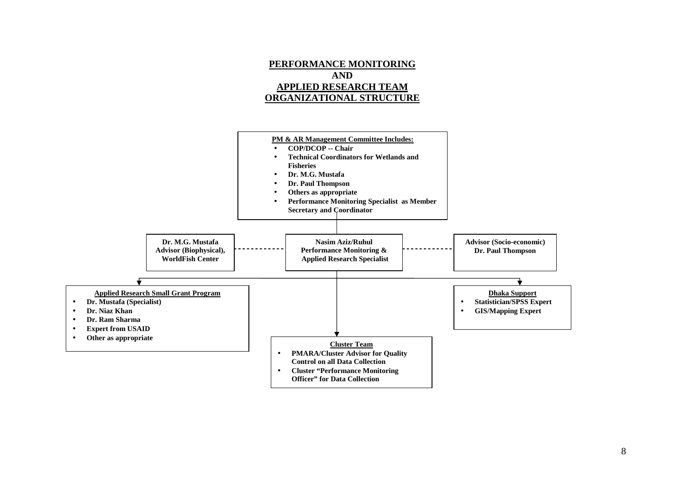

**PERFORMANCE MONITORING**

8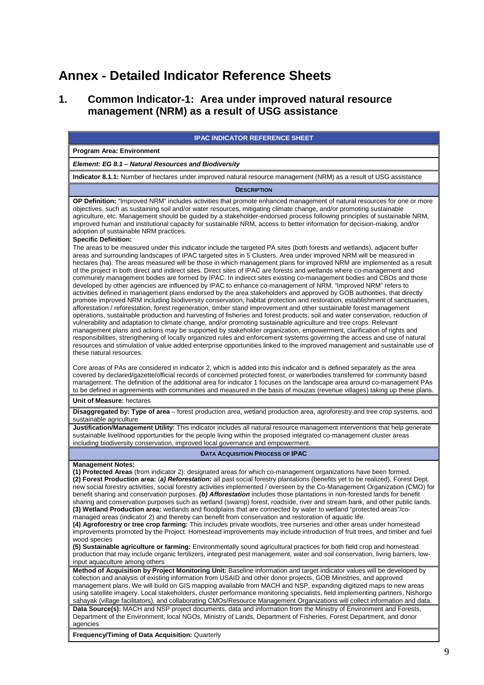# **Annex - Detailed Indicator Reference Sheets**

# **1. Common Indicator-1: Area under improved natural resource management (NRM) as a result of USG assistance**

| <b>IPAC INDICATOR REFERENCE SHEET</b>                                                                                                                                                                                                                                                                                                                                                                                                                                                                                                                                                                                                                                                                                                                                                                                                                                                                                                                                                                                                                                                                                                                                                                                                                                                                                                                                                                                                                                                                                                                                                                                                                                                                                                                                                            |
|--------------------------------------------------------------------------------------------------------------------------------------------------------------------------------------------------------------------------------------------------------------------------------------------------------------------------------------------------------------------------------------------------------------------------------------------------------------------------------------------------------------------------------------------------------------------------------------------------------------------------------------------------------------------------------------------------------------------------------------------------------------------------------------------------------------------------------------------------------------------------------------------------------------------------------------------------------------------------------------------------------------------------------------------------------------------------------------------------------------------------------------------------------------------------------------------------------------------------------------------------------------------------------------------------------------------------------------------------------------------------------------------------------------------------------------------------------------------------------------------------------------------------------------------------------------------------------------------------------------------------------------------------------------------------------------------------------------------------------------------------------------------------------------------------|
| <b>Program Area: Environment</b>                                                                                                                                                                                                                                                                                                                                                                                                                                                                                                                                                                                                                                                                                                                                                                                                                                                                                                                                                                                                                                                                                                                                                                                                                                                                                                                                                                                                                                                                                                                                                                                                                                                                                                                                                                 |
| Element: EG 8.1 - Natural Resources and Biodiversity                                                                                                                                                                                                                                                                                                                                                                                                                                                                                                                                                                                                                                                                                                                                                                                                                                                                                                                                                                                                                                                                                                                                                                                                                                                                                                                                                                                                                                                                                                                                                                                                                                                                                                                                             |
| Indicator 8.1.1: Number of hectares under improved natural resource management (NRM) as a result of USG assistance                                                                                                                                                                                                                                                                                                                                                                                                                                                                                                                                                                                                                                                                                                                                                                                                                                                                                                                                                                                                                                                                                                                                                                                                                                                                                                                                                                                                                                                                                                                                                                                                                                                                               |
| <b>DESCRIPTION</b>                                                                                                                                                                                                                                                                                                                                                                                                                                                                                                                                                                                                                                                                                                                                                                                                                                                                                                                                                                                                                                                                                                                                                                                                                                                                                                                                                                                                                                                                                                                                                                                                                                                                                                                                                                               |
| OP Definition: "Improved NRM" includes activities that promote enhanced management of natural resources for one or more<br>objectives, such as sustaining soil and/or water resources, mitigating climate change, and/or promoting sustainable<br>agriculture, etc. Management should be guided by a stakeholder-endorsed process following principles of sustainable NRM,<br>improved human and institutional capacity for sustainable NRM, access to better information for decision-making, and/or<br>adoption of sustainable NRM practices.<br><b>Specific Definition:</b>                                                                                                                                                                                                                                                                                                                                                                                                                                                                                                                                                                                                                                                                                                                                                                                                                                                                                                                                                                                                                                                                                                                                                                                                                   |
| The areas to be measured under this indicator include the targeted PA sites (both forests and wetlands), adjacent buffer<br>areas and surrounding landscapes of IPAC targeted sites in 5 Clusters. Area under improved NRM will be measured in<br>hectares (ha). The areas measured will be those in which management plans for improved NRM are implemented as a result<br>of the project in both direct and indirect sites. Direct sites of IPAC are forests and wetlands where co-management and<br>community management bodies are formed by IPAC. In indirect sites existing co-management bodies and CBOs and those<br>developed by other agencies are influenced by IPAC to enhance co-management of NRM. "Improved NRM" refers to<br>activities defined in management plans endorsed by the area stakeholders and approved by GOB authorities, that directly<br>promote improved NRM including biodiversity conservation, habitat protection and restoration, establishment of sanctuaries,<br>afforestation / reforestation, forest regeneration, timber stand improvement and other sustainable forest management<br>operations, sustainable production and harvesting of fisheries and forest products, soil and water conservation, reduction of<br>vulnerability and adaptation to climate change, and/or promoting sustainable agriculture and tree crops. Relevant<br>management plans and actions may be supported by stakeholder organization, empowerment, clarification of rights and<br>responsibilities, strengthening of locally organized rules and enforcement systems governing the access and use of natural<br>resources and stimulation of value added enterprise opportunities linked to the improved management and sustainable use of<br>these natural resources. |
| Core areas of PAs are considered in indicator 2, which is added into this indicator and is defined separately as the area<br>covered by declared/gazette/official records of concerned protected forest, or waterbodies transferred for community based<br>management. The definition of the additional area for indicator 1 focuses on the landscape area around co-management PAs<br>to be defined in agreements with communities and measured in the basis of mouzas (revenue villages) taking up these plans.<br>Unit of Measure: hectares                                                                                                                                                                                                                                                                                                                                                                                                                                                                                                                                                                                                                                                                                                                                                                                                                                                                                                                                                                                                                                                                                                                                                                                                                                                   |
| <b>Disaggregated by: Type of area</b> – forest production area, wetland production area, agroforestry and tree crop systems, and<br>sustainable agriculture                                                                                                                                                                                                                                                                                                                                                                                                                                                                                                                                                                                                                                                                                                                                                                                                                                                                                                                                                                                                                                                                                                                                                                                                                                                                                                                                                                                                                                                                                                                                                                                                                                      |
| Justification/Management Utility: This indicator includes all natural resource management interventions that help generate<br>sustainable livelihood opportunities for the people living within the proposed integrated co-management cluster areas<br>including biodiversity conservation, improved local governance and empowerment.                                                                                                                                                                                                                                                                                                                                                                                                                                                                                                                                                                                                                                                                                                                                                                                                                                                                                                                                                                                                                                                                                                                                                                                                                                                                                                                                                                                                                                                           |
| <b>DATA ACQUISITION PROCESS OF IPAC</b>                                                                                                                                                                                                                                                                                                                                                                                                                                                                                                                                                                                                                                                                                                                                                                                                                                                                                                                                                                                                                                                                                                                                                                                                                                                                                                                                                                                                                                                                                                                                                                                                                                                                                                                                                          |
| <b>Management Notes:</b><br>(1) Protected Areas (from indicator 2): designated areas for which co-management organizations have been formed.<br>(2) Forest Production area: (a) Reforestation: all past social forestry plantations (benefits yet to be realized), Forest Dept.<br>new social forestry activities, social forestry activities implemented / overseen by the Co-Management Organization (CMO) for<br>benefit sharing and conservation purposes. (b) Afforestation includes those plantations in non-forested lands for benefit<br>sharing and conservation purposes such as wetland (swamp) forest, roadside, river and stream bank, and other public lands.<br>(3) Wetland Production area: wetlands and floodplains that are connected by water to wetland "protected areas"/co-<br>managed areas (indicator 2) and thereby can benefit from conservation and restoration of aquatic life.<br>(4) Agroforestry or tree crop farming: This includes private woodlots, tree nurseries and other areas under homestead<br>improvements promoted by the Project. Homestead improvements may include introduction of fruit trees, and timber and fuel<br>wood species<br>(5) Sustainable agriculture or farming: Environmentally sound agricultural practices for both field crop and homestead                                                                                                                                                                                                                                                                                                                                                                                                                                                                                      |
| production that may include organic fertilizers, integrated pest management, water and soil conservation, living barriers, low-<br>input aquaculture among others                                                                                                                                                                                                                                                                                                                                                                                                                                                                                                                                                                                                                                                                                                                                                                                                                                                                                                                                                                                                                                                                                                                                                                                                                                                                                                                                                                                                                                                                                                                                                                                                                                |
| Method of Acquisition by Project Monitoring Unit: Baseline information and target indicator values will be developed by<br>collection and analysis of existing information from USAID and other donor projects, GOB Ministries, and approved<br>management plans. We will build on GIS mapping available from MACH and NSP, expanding digitized maps to new areas<br>using satellite imagery. Local stakeholders, cluster performance monitoring specialists, field implementing partners, Nishorgo<br>sahayak (village facilitators), and collaborating CMOs/Resource Management Organizations will collect information and data.                                                                                                                                                                                                                                                                                                                                                                                                                                                                                                                                                                                                                                                                                                                                                                                                                                                                                                                                                                                                                                                                                                                                                               |
| Data Source(s): MACH and NSP project documents, data and information from the Ministry of Environment and Forests,<br>Department of the Environment, local NGOs, Ministry of Lands, Department of Fisheries, Forest Department, and donor<br>agencies                                                                                                                                                                                                                                                                                                                                                                                                                                                                                                                                                                                                                                                                                                                                                                                                                                                                                                                                                                                                                                                                                                                                                                                                                                                                                                                                                                                                                                                                                                                                            |
| Frequency/Timing of Data Acquisition: Quarterly                                                                                                                                                                                                                                                                                                                                                                                                                                                                                                                                                                                                                                                                                                                                                                                                                                                                                                                                                                                                                                                                                                                                                                                                                                                                                                                                                                                                                                                                                                                                                                                                                                                                                                                                                  |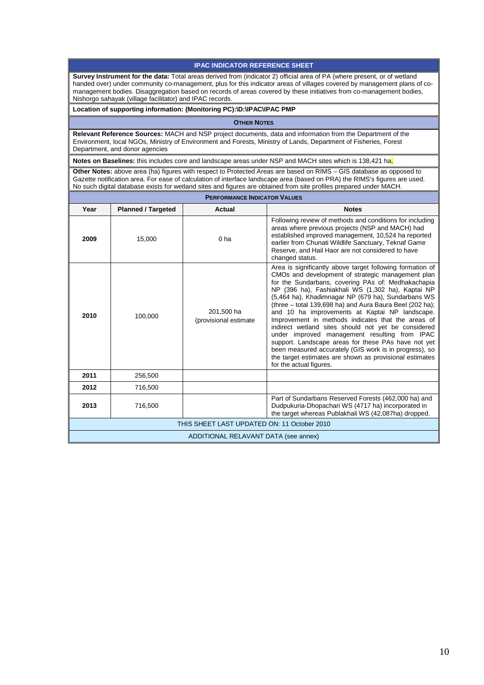#### **IPAC INDICATOR REFERENCE SHEET**

**Survey Instrument for the data:** Total areas derived from (indicator 2) official area of PA (where present, or of wetland handed over) under community co-management, plus for this indicator areas of villages covered by management plans of comanagement bodies. Disaggregation based on records of areas covered by these initiatives from co-management bodies, Nishorgo sahayak (village facilitator) and IPAC records.

#### **Location of supporting information: (Monitoring PC):\D:\IPAC\IPAC PMP**

**OTHER NOTES**

**Relevant Reference Sources:** MACH and NSP project documents, data and information from the Department of the Environment, local NGOs, Ministry of Environment and Forests, Ministry of Lands, Department of Fisheries, Forest Department, and donor agencies

**Notes on Baselines:** this includes core and landscape areas under NSP and MACH sites which is 138,421 ha.

**Other Notes:** above area (ha) figures with respect to Protected Areas are based on RIMS – GIS database as opposed to Gazette notification area. For ease of calculation of interface landscape area (based on PRA) the RIMS's figures are used. No such digital database exists for wetland sites and figures are obtained from site profiles prepared under MACH.

| <b>PERFORMANCE INDICATOR VALUES</b>         |                           |                                     |                                                                                                                                                                                                                                                                                                                                                                                                                                                                                                                                                                                                                                                                                                                                                                    |  |  |  |
|---------------------------------------------|---------------------------|-------------------------------------|--------------------------------------------------------------------------------------------------------------------------------------------------------------------------------------------------------------------------------------------------------------------------------------------------------------------------------------------------------------------------------------------------------------------------------------------------------------------------------------------------------------------------------------------------------------------------------------------------------------------------------------------------------------------------------------------------------------------------------------------------------------------|--|--|--|
| Year                                        | <b>Planned / Targeted</b> | Actual                              | <b>Notes</b>                                                                                                                                                                                                                                                                                                                                                                                                                                                                                                                                                                                                                                                                                                                                                       |  |  |  |
| 2009                                        | 15,000                    | 0 <sub>ha</sub>                     | Following review of methods and conditions for including<br>areas where previous projects (NSP and MACH) had<br>established improved management, 10,524 ha reported<br>earlier from Chunati Wildlife Sanctuary, Teknaf Game<br>Reserve, and Hail Haor are not considered to have<br>changed status.                                                                                                                                                                                                                                                                                                                                                                                                                                                                |  |  |  |
| 2010                                        | 100,000                   | 201,500 ha<br>(provisional estimate | Area is significantly above target following formation of<br>CMOs and development of strategic management plan<br>for the Sundarbans, covering PAs of: Medhakachapia<br>NP (396 ha), Fashiakhali WS (1,302 ha), Kaptai NP<br>(5,464 ha), Khadimnagar NP (679 ha), Sundarbans WS<br>(three - total 139,698 ha) and Aura Baura Beel (202 ha);<br>and 10 ha improvements at Kaptai NP landscape.<br>Improvement in methods indicates that the areas of<br>indirect wetland sites should not yet be considered<br>under improved management resulting from IPAC<br>support. Landscape areas for these PAs have not yet<br>been measured accurately (GIS work is in progress), so<br>the target estimates are shown as provisional estimates<br>for the actual figures. |  |  |  |
| 2011                                        | 256,500                   |                                     |                                                                                                                                                                                                                                                                                                                                                                                                                                                                                                                                                                                                                                                                                                                                                                    |  |  |  |
| 2012                                        | 716,500                   |                                     |                                                                                                                                                                                                                                                                                                                                                                                                                                                                                                                                                                                                                                                                                                                                                                    |  |  |  |
| 2013                                        | 716,500                   |                                     | Part of Sundarbans Reserved Forests (462,000 ha) and<br>Dudpukuria-Dhopachari WS (4717 ha) incorporated in<br>the target whereas Publakhali WS (42,087ha) dropped.                                                                                                                                                                                                                                                                                                                                                                                                                                                                                                                                                                                                 |  |  |  |
| THIS SHEET LAST UPDATED ON: 11 October 2010 |                           |                                     |                                                                                                                                                                                                                                                                                                                                                                                                                                                                                                                                                                                                                                                                                                                                                                    |  |  |  |
| ADDITIONAL RELAVANT DATA (see annex)        |                           |                                     |                                                                                                                                                                                                                                                                                                                                                                                                                                                                                                                                                                                                                                                                                                                                                                    |  |  |  |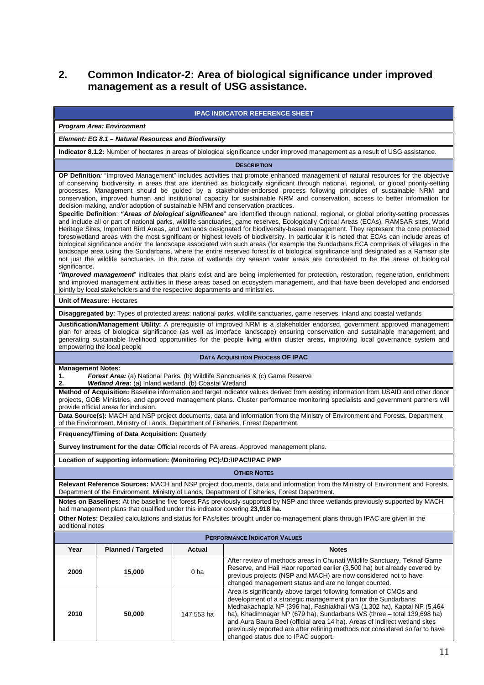# **2. Common Indicator-2: Area of biological significance under improved management as a result of USG assistance.**

|                                                                                                                                                                                                                                                                                                                                                                                                                                                                                                                                                                                                                                                                                                                                                                                                                                                                                                                                                                                                                                                                                                                                                                                                                                                                                                                                                                                                                                                                                                                                                                                                                                                                                                                                                                                                                                                                                                                                                                                           |                                                                                    | <b>IPAC INDICATOR REFERENCE SHEET</b> |                                                                                                                                                                                                                                                                                                                                                                                                                                                                                                                                    |  |  |
|-------------------------------------------------------------------------------------------------------------------------------------------------------------------------------------------------------------------------------------------------------------------------------------------------------------------------------------------------------------------------------------------------------------------------------------------------------------------------------------------------------------------------------------------------------------------------------------------------------------------------------------------------------------------------------------------------------------------------------------------------------------------------------------------------------------------------------------------------------------------------------------------------------------------------------------------------------------------------------------------------------------------------------------------------------------------------------------------------------------------------------------------------------------------------------------------------------------------------------------------------------------------------------------------------------------------------------------------------------------------------------------------------------------------------------------------------------------------------------------------------------------------------------------------------------------------------------------------------------------------------------------------------------------------------------------------------------------------------------------------------------------------------------------------------------------------------------------------------------------------------------------------------------------------------------------------------------------------------------------------|------------------------------------------------------------------------------------|---------------------------------------|------------------------------------------------------------------------------------------------------------------------------------------------------------------------------------------------------------------------------------------------------------------------------------------------------------------------------------------------------------------------------------------------------------------------------------------------------------------------------------------------------------------------------------|--|--|
|                                                                                                                                                                                                                                                                                                                                                                                                                                                                                                                                                                                                                                                                                                                                                                                                                                                                                                                                                                                                                                                                                                                                                                                                                                                                                                                                                                                                                                                                                                                                                                                                                                                                                                                                                                                                                                                                                                                                                                                           | <b>Program Area: Environment</b>                                                   |                                       |                                                                                                                                                                                                                                                                                                                                                                                                                                                                                                                                    |  |  |
|                                                                                                                                                                                                                                                                                                                                                                                                                                                                                                                                                                                                                                                                                                                                                                                                                                                                                                                                                                                                                                                                                                                                                                                                                                                                                                                                                                                                                                                                                                                                                                                                                                                                                                                                                                                                                                                                                                                                                                                           | Element: EG 8.1 - Natural Resources and Biodiversity                               |                                       |                                                                                                                                                                                                                                                                                                                                                                                                                                                                                                                                    |  |  |
|                                                                                                                                                                                                                                                                                                                                                                                                                                                                                                                                                                                                                                                                                                                                                                                                                                                                                                                                                                                                                                                                                                                                                                                                                                                                                                                                                                                                                                                                                                                                                                                                                                                                                                                                                                                                                                                                                                                                                                                           |                                                                                    |                                       | Indicator 8.1.2: Number of hectares in areas of biological significance under improved management as a result of USG assistance.                                                                                                                                                                                                                                                                                                                                                                                                   |  |  |
|                                                                                                                                                                                                                                                                                                                                                                                                                                                                                                                                                                                                                                                                                                                                                                                                                                                                                                                                                                                                                                                                                                                                                                                                                                                                                                                                                                                                                                                                                                                                                                                                                                                                                                                                                                                                                                                                                                                                                                                           |                                                                                    |                                       | <b>DESCRIPTION</b>                                                                                                                                                                                                                                                                                                                                                                                                                                                                                                                 |  |  |
| OP Definition: "Improved Management" includes activities that promote enhanced management of natural resources for the objective<br>of conserving biodiversity in areas that are identified as biologically significant through national, regional, or global priority-setting<br>processes. Management should be guided by a stakeholder-endorsed process following principles of sustainable NRM and<br>conservation, improved human and institutional capacity for sustainable NRM and conservation, access to better information for<br>decision-making, and/or adoption of sustainable NRM and conservation practices.<br>Specific Definition: "Areas of biological significance" are identified through national, regional, or global priority-setting processes<br>and include all or part of national parks, wildlife sanctuaries, game reserves, Ecologically Critical Areas (ECAs), RAMSAR sites, World<br>Heritage Sites, Important Bird Areas, and wetlands designated for biodiversity-based management. They represent the core protected<br>forest/wetland areas with the most significant or highest levels of biodiversity. In particular it is noted that ECAs can include areas of<br>biological significance and/or the landscape associated with such areas (for example the Sundarbans ECA comprises of villages in the<br>landscape area using the Sundarbans, where the entire reserved forest is of biological significance and designated as a Ramsar site<br>not just the wildlife sanctuaries. In the case of wetlands dry season water areas are considered to be the areas of biological<br>significance.<br>"Improved management" indicates that plans exist and are being implemented for protection, restoration, regeneration, enrichment<br>and improved management activities in these areas based on ecosystem management, and that have been developed and endorsed<br>jointly by local stakeholders and the respective departments and ministries. |                                                                                    |                                       |                                                                                                                                                                                                                                                                                                                                                                                                                                                                                                                                    |  |  |
|                                                                                                                                                                                                                                                                                                                                                                                                                                                                                                                                                                                                                                                                                                                                                                                                                                                                                                                                                                                                                                                                                                                                                                                                                                                                                                                                                                                                                                                                                                                                                                                                                                                                                                                                                                                                                                                                                                                                                                                           | <b>Unit of Measure: Hectares</b>                                                   |                                       |                                                                                                                                                                                                                                                                                                                                                                                                                                                                                                                                    |  |  |
|                                                                                                                                                                                                                                                                                                                                                                                                                                                                                                                                                                                                                                                                                                                                                                                                                                                                                                                                                                                                                                                                                                                                                                                                                                                                                                                                                                                                                                                                                                                                                                                                                                                                                                                                                                                                                                                                                                                                                                                           | empowering the local people                                                        |                                       | Disaggregated by: Types of protected areas: national parks, wildlife sanctuaries, game reserves, inland and coastal wetlands<br>Justification/Management Utility: A prerequisite of improved NRM is a stakeholder endorsed, government approved management<br>plan for areas of biological significance (as well as interface landscape) ensuring conservation and sustainable management and<br>generating sustainable livelihood opportunities for the people living within cluster areas, improving local governance system and |  |  |
|                                                                                                                                                                                                                                                                                                                                                                                                                                                                                                                                                                                                                                                                                                                                                                                                                                                                                                                                                                                                                                                                                                                                                                                                                                                                                                                                                                                                                                                                                                                                                                                                                                                                                                                                                                                                                                                                                                                                                                                           |                                                                                    |                                       | <b>DATA ACQUISITION PROCESS OF IPAC</b>                                                                                                                                                                                                                                                                                                                                                                                                                                                                                            |  |  |
| <b>Management Notes:</b><br><b>Forest Area:</b> (a) National Parks, (b) Wildlife Sanctuaries & (c) Game Reserve<br>1.<br>Wetland Area: (a) Inland wetland, (b) Coastal Wetland<br>2.                                                                                                                                                                                                                                                                                                                                                                                                                                                                                                                                                                                                                                                                                                                                                                                                                                                                                                                                                                                                                                                                                                                                                                                                                                                                                                                                                                                                                                                                                                                                                                                                                                                                                                                                                                                                      |                                                                                    |                                       |                                                                                                                                                                                                                                                                                                                                                                                                                                                                                                                                    |  |  |
|                                                                                                                                                                                                                                                                                                                                                                                                                                                                                                                                                                                                                                                                                                                                                                                                                                                                                                                                                                                                                                                                                                                                                                                                                                                                                                                                                                                                                                                                                                                                                                                                                                                                                                                                                                                                                                                                                                                                                                                           | provide official areas for inclusion.                                              |                                       | Method of Acquisition: Baseline information and target indicator values derived from existing information from USAID and other donor<br>projects, GOB Ministries, and approved management plans. Cluster performance monitoring specialists and government partners will<br>Data Source(s): MACH and NSP project documents, data and information from the Ministry of Environment and Forests, Department                                                                                                                          |  |  |
|                                                                                                                                                                                                                                                                                                                                                                                                                                                                                                                                                                                                                                                                                                                                                                                                                                                                                                                                                                                                                                                                                                                                                                                                                                                                                                                                                                                                                                                                                                                                                                                                                                                                                                                                                                                                                                                                                                                                                                                           | of the Environment, Ministry of Lands, Department of Fisheries, Forest Department. |                                       |                                                                                                                                                                                                                                                                                                                                                                                                                                                                                                                                    |  |  |
|                                                                                                                                                                                                                                                                                                                                                                                                                                                                                                                                                                                                                                                                                                                                                                                                                                                                                                                                                                                                                                                                                                                                                                                                                                                                                                                                                                                                                                                                                                                                                                                                                                                                                                                                                                                                                                                                                                                                                                                           | Frequency/Timing of Data Acquisition: Quarterly                                    |                                       |                                                                                                                                                                                                                                                                                                                                                                                                                                                                                                                                    |  |  |
|                                                                                                                                                                                                                                                                                                                                                                                                                                                                                                                                                                                                                                                                                                                                                                                                                                                                                                                                                                                                                                                                                                                                                                                                                                                                                                                                                                                                                                                                                                                                                                                                                                                                                                                                                                                                                                                                                                                                                                                           |                                                                                    |                                       | Survey Instrument for the data: Official records of PA areas. Approved management plans.                                                                                                                                                                                                                                                                                                                                                                                                                                           |  |  |
|                                                                                                                                                                                                                                                                                                                                                                                                                                                                                                                                                                                                                                                                                                                                                                                                                                                                                                                                                                                                                                                                                                                                                                                                                                                                                                                                                                                                                                                                                                                                                                                                                                                                                                                                                                                                                                                                                                                                                                                           | Location of supporting information: (Monitoring PC):\D:\IPAC\IPAC PMP              |                                       |                                                                                                                                                                                                                                                                                                                                                                                                                                                                                                                                    |  |  |
|                                                                                                                                                                                                                                                                                                                                                                                                                                                                                                                                                                                                                                                                                                                                                                                                                                                                                                                                                                                                                                                                                                                                                                                                                                                                                                                                                                                                                                                                                                                                                                                                                                                                                                                                                                                                                                                                                                                                                                                           |                                                                                    |                                       | <b>OTHER NOTES</b>                                                                                                                                                                                                                                                                                                                                                                                                                                                                                                                 |  |  |
| Relevant Reference Sources: MACH and NSP project documents, data and information from the Ministry of Environment and Forests,<br>Department of the Environment, Ministry of Lands, Department of Fisheries, Forest Department.<br>Notes on Baselines: At the baseline five forest PAs previously supported by NSP and three wetlands previously supported by MACH<br>had management plans that qualified under this indicator covering 23,918 ha.                                                                                                                                                                                                                                                                                                                                                                                                                                                                                                                                                                                                                                                                                                                                                                                                                                                                                                                                                                                                                                                                                                                                                                                                                                                                                                                                                                                                                                                                                                                                        |                                                                                    |                                       |                                                                                                                                                                                                                                                                                                                                                                                                                                                                                                                                    |  |  |
| additional notes                                                                                                                                                                                                                                                                                                                                                                                                                                                                                                                                                                                                                                                                                                                                                                                                                                                                                                                                                                                                                                                                                                                                                                                                                                                                                                                                                                                                                                                                                                                                                                                                                                                                                                                                                                                                                                                                                                                                                                          |                                                                                    |                                       | Other Notes: Detailed calculations and status for PAs/sites brought under co-management plans through IPAC are given in the                                                                                                                                                                                                                                                                                                                                                                                                        |  |  |
|                                                                                                                                                                                                                                                                                                                                                                                                                                                                                                                                                                                                                                                                                                                                                                                                                                                                                                                                                                                                                                                                                                                                                                                                                                                                                                                                                                                                                                                                                                                                                                                                                                                                                                                                                                                                                                                                                                                                                                                           |                                                                                    |                                       | <b>PERFORMANCE INDICATOR VALUES</b>                                                                                                                                                                                                                                                                                                                                                                                                                                                                                                |  |  |
| Year                                                                                                                                                                                                                                                                                                                                                                                                                                                                                                                                                                                                                                                                                                                                                                                                                                                                                                                                                                                                                                                                                                                                                                                                                                                                                                                                                                                                                                                                                                                                                                                                                                                                                                                                                                                                                                                                                                                                                                                      | <b>Planned / Targeted</b>                                                          | Actual                                | <b>Notes</b>                                                                                                                                                                                                                                                                                                                                                                                                                                                                                                                       |  |  |
| 2009                                                                                                                                                                                                                                                                                                                                                                                                                                                                                                                                                                                                                                                                                                                                                                                                                                                                                                                                                                                                                                                                                                                                                                                                                                                                                                                                                                                                                                                                                                                                                                                                                                                                                                                                                                                                                                                                                                                                                                                      | 15,000                                                                             | 0 ha                                  | After review of methods areas in Chunati Wildlife Sanctuary, Teknaf Game<br>Reserve, and Hail Haor reported earlier (3,500 ha) but already covered by<br>previous projects (NSP and MACH) are now considered not to have<br>changed management status and are no longer counted.                                                                                                                                                                                                                                                   |  |  |
| 2010                                                                                                                                                                                                                                                                                                                                                                                                                                                                                                                                                                                                                                                                                                                                                                                                                                                                                                                                                                                                                                                                                                                                                                                                                                                                                                                                                                                                                                                                                                                                                                                                                                                                                                                                                                                                                                                                                                                                                                                      | 50,000                                                                             | 147,553 ha                            | Area is significantly above target following formation of CMOs and<br>development of a strategic management plan for the Sundarbans:<br>Medhakachapia NP (396 ha), Fashiakhali WS (1,302 ha), Kaptai NP (5,464<br>ha), Khadimnagar NP (679 ha), Sundarbans WS (three - total 139,698 ha)<br>and Aura Baura Beel (official area 14 ha). Areas of indirect wetland sites<br>previously reported are after refining methods not considered so far to have<br>changed status due to IPAC support.                                      |  |  |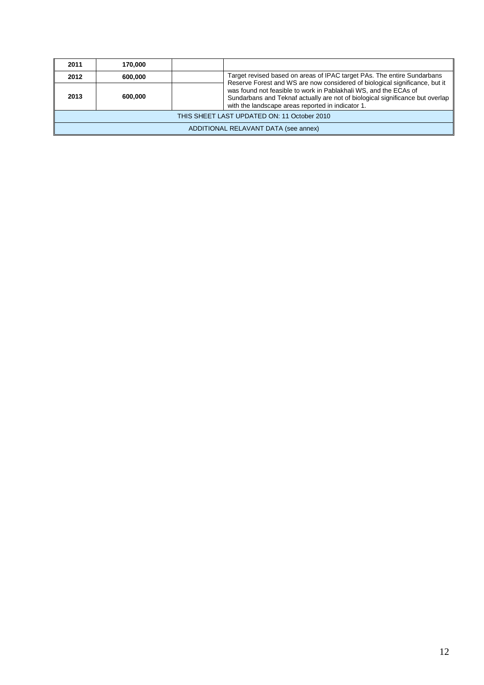| 2011                                        | 170.000 |  |                                                                                                                                                                                                                                                                                       |  |
|---------------------------------------------|---------|--|---------------------------------------------------------------------------------------------------------------------------------------------------------------------------------------------------------------------------------------------------------------------------------------|--|
| 2012                                        | 600,000 |  | Target revised based on areas of IPAC target PAs. The entire Sundarbans                                                                                                                                                                                                               |  |
| 2013                                        | 600.000 |  | Reserve Forest and WS are now considered of biological significance, but it<br>was found not feasible to work in Pablakhali WS, and the ECAs of<br>Sundarbans and Teknaf actually are not of biological significance but overlap<br>with the landscape areas reported in indicator 1. |  |
| THIS SHEET LAST UPDATED ON: 11 October 2010 |         |  |                                                                                                                                                                                                                                                                                       |  |
| ADDITIONAL RELAVANT DATA (see annex)        |         |  |                                                                                                                                                                                                                                                                                       |  |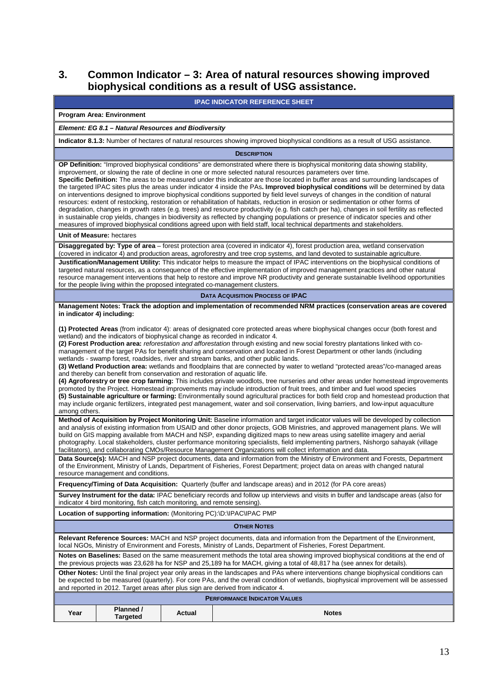# **3. Common Indicator – 3: Area of natural resources showing improved biophysical conditions as a result of USG assistance.**

| <b>IPAC INDICATOR REFERENCE SHEET</b>                                                                                                                                                                                                                                                                                                                                                                                                                                                                                                                                                                                                                                                                                                                                                                                                                                                                                                                                                                                                                                                                                                                                                                                                                                                                                                                                                                                                                                                                                                                                                                                                                                                                                                                                                                                                                                                                                                                                                                                                                                                                                                                                                                                                                                                                                                                                    |  |  |  |  |  |
|--------------------------------------------------------------------------------------------------------------------------------------------------------------------------------------------------------------------------------------------------------------------------------------------------------------------------------------------------------------------------------------------------------------------------------------------------------------------------------------------------------------------------------------------------------------------------------------------------------------------------------------------------------------------------------------------------------------------------------------------------------------------------------------------------------------------------------------------------------------------------------------------------------------------------------------------------------------------------------------------------------------------------------------------------------------------------------------------------------------------------------------------------------------------------------------------------------------------------------------------------------------------------------------------------------------------------------------------------------------------------------------------------------------------------------------------------------------------------------------------------------------------------------------------------------------------------------------------------------------------------------------------------------------------------------------------------------------------------------------------------------------------------------------------------------------------------------------------------------------------------------------------------------------------------------------------------------------------------------------------------------------------------------------------------------------------------------------------------------------------------------------------------------------------------------------------------------------------------------------------------------------------------------------------------------------------------------------------------------------------------|--|--|--|--|--|
| <b>Program Area: Environment</b>                                                                                                                                                                                                                                                                                                                                                                                                                                                                                                                                                                                                                                                                                                                                                                                                                                                                                                                                                                                                                                                                                                                                                                                                                                                                                                                                                                                                                                                                                                                                                                                                                                                                                                                                                                                                                                                                                                                                                                                                                                                                                                                                                                                                                                                                                                                                         |  |  |  |  |  |
| Element: EG 8.1 - Natural Resources and Biodiversity                                                                                                                                                                                                                                                                                                                                                                                                                                                                                                                                                                                                                                                                                                                                                                                                                                                                                                                                                                                                                                                                                                                                                                                                                                                                                                                                                                                                                                                                                                                                                                                                                                                                                                                                                                                                                                                                                                                                                                                                                                                                                                                                                                                                                                                                                                                     |  |  |  |  |  |
| Indicator 8.1.3: Number of hectares of natural resources showing improved biophysical conditions as a result of USG assistance.                                                                                                                                                                                                                                                                                                                                                                                                                                                                                                                                                                                                                                                                                                                                                                                                                                                                                                                                                                                                                                                                                                                                                                                                                                                                                                                                                                                                                                                                                                                                                                                                                                                                                                                                                                                                                                                                                                                                                                                                                                                                                                                                                                                                                                          |  |  |  |  |  |
| <b>DESCRIPTION</b>                                                                                                                                                                                                                                                                                                                                                                                                                                                                                                                                                                                                                                                                                                                                                                                                                                                                                                                                                                                                                                                                                                                                                                                                                                                                                                                                                                                                                                                                                                                                                                                                                                                                                                                                                                                                                                                                                                                                                                                                                                                                                                                                                                                                                                                                                                                                                       |  |  |  |  |  |
| OP Definition: "Improved biophysical conditions" are demonstrated where there is biophysical monitoring data showing stability,<br>improvement, or slowing the rate of decline in one or more selected natural resources parameters over time.<br>Specific Definition: The areas to be measured under this indicator are those located in buffer areas and surrounding landscapes of<br>the targeted IPAC sites plus the areas under indicator 4 inside the PAs. Improved biophysical conditions will be determined by data<br>on interventions designed to improve biophysical conditions supported by field level surveys of changes in the condition of natural<br>resources: extent of restocking, restoration or rehabilitation of habitats, reduction in erosion or sedimentation or other forms of<br>degradation, changes in growth rates (e.g. trees) and resource productivity (e.g. fish catch per ha), changes in soil fertility as reflected<br>in sustainable crop yields, changes in biodiversity as reflected by changing populations or presence of indicator species and other<br>measures of improved biophysical conditions agreed upon with field staff, local technical departments and stakeholders.                                                                                                                                                                                                                                                                                                                                                                                                                                                                                                                                                                                                                                                                                                                                                                                                                                                                                                                                                                                                                                                                                                                                              |  |  |  |  |  |
| Unit of Measure: hectares                                                                                                                                                                                                                                                                                                                                                                                                                                                                                                                                                                                                                                                                                                                                                                                                                                                                                                                                                                                                                                                                                                                                                                                                                                                                                                                                                                                                                                                                                                                                                                                                                                                                                                                                                                                                                                                                                                                                                                                                                                                                                                                                                                                                                                                                                                                                                |  |  |  |  |  |
| Disaggregated by: Type of area - forest protection area (covered in indicator 4), forest production area, wetland conservation<br>(covered in indicator 4) and production areas, agroforestry and tree crop systems, and land devoted to sustainable agriculture.<br>Justification/Management Utility: This indicator helps to measure the impact of IPAC interventions on the biophysical conditions of<br>targeted natural resources, as a consequence of the effective implementation of improved management practices and other natural<br>resource management interventions that help to restore and improve NR productivity and generate sustainable livelihood opportunities<br>for the people living within the proposed integrated co-management clusters.<br><b>DATA ACQUISITION PROCESS OF IPAC</b>                                                                                                                                                                                                                                                                                                                                                                                                                                                                                                                                                                                                                                                                                                                                                                                                                                                                                                                                                                                                                                                                                                                                                                                                                                                                                                                                                                                                                                                                                                                                                           |  |  |  |  |  |
| Management Notes: Track the adoption and implementation of recommended NRM practices (conservation areas are covered                                                                                                                                                                                                                                                                                                                                                                                                                                                                                                                                                                                                                                                                                                                                                                                                                                                                                                                                                                                                                                                                                                                                                                                                                                                                                                                                                                                                                                                                                                                                                                                                                                                                                                                                                                                                                                                                                                                                                                                                                                                                                                                                                                                                                                                     |  |  |  |  |  |
| in indicator 4) including:<br>(1) Protected Areas (from indicator 4): areas of designated core protected areas where biophysical changes occur (both forest and<br>wetland) and the indicators of biophysical change as recorded in indicator 4.<br>(2) Forest Production area: reforestation and afforestation through existing and new social forestry plantations linked with co-<br>management of the target PAs for benefit sharing and conservation and located in Forest Department or other lands (including<br>wetlands - swamp forest, roadsides, river and stream banks, and other public lands.<br>(3) Wetland Production area: wetlands and floodplains that are connected by water to wetland "protected areas"/co-managed areas<br>and thereby can benefit from conservation and restoration of aquatic life.<br>(4) Agroforestry or tree crop farming: This includes private woodlots, tree nurseries and other areas under homestead improvements<br>promoted by the Project. Homestead improvements may include introduction of fruit trees, and timber and fuel wood species<br>(5) Sustainable agriculture or farming: Environmentally sound agricultural practices for both field crop and homestead production that<br>may include organic fertilizers, integrated pest management, water and soil conservation, living barriers, and low-input aquaculture<br>among others.<br>Method of Acquisition by Project Monitoring Unit: Baseline information and target indicator values will be developed by collection<br>and analysis of existing information from USAID and other donor projects, GOB Ministries, and approved management plans. We will<br>build on GIS mapping available from MACH and NSP, expanding digitized maps to new areas using satellite imagery and aerial<br>photography. Local stakeholders, cluster performance monitoring specialists, field implementing partners, Nishorgo sahayak (village<br>facilitators), and collaborating CMOs/Resource Management Organizations will collect information and data.<br>Data Source(s): MACH and NSP project documents, data and information from the Ministry of Environment and Forests, Department<br>of the Environment, Ministry of Lands, Department of Fisheries, Forest Department; project data on areas with changed natural<br>resource management and conditions. |  |  |  |  |  |
| Frequency/Timing of Data Acquisition: Quarterly (buffer and landscape areas) and in 2012 (for PA core areas)                                                                                                                                                                                                                                                                                                                                                                                                                                                                                                                                                                                                                                                                                                                                                                                                                                                                                                                                                                                                                                                                                                                                                                                                                                                                                                                                                                                                                                                                                                                                                                                                                                                                                                                                                                                                                                                                                                                                                                                                                                                                                                                                                                                                                                                             |  |  |  |  |  |
| Survey Instrument for the data: IPAC beneficiary records and follow up interviews and visits in buffer and landscape areas (also for<br>indicator 4 bird monitoring, fish catch monitoring, and remote sensing).                                                                                                                                                                                                                                                                                                                                                                                                                                                                                                                                                                                                                                                                                                                                                                                                                                                                                                                                                                                                                                                                                                                                                                                                                                                                                                                                                                                                                                                                                                                                                                                                                                                                                                                                                                                                                                                                                                                                                                                                                                                                                                                                                         |  |  |  |  |  |
| Location of supporting information: (Monitoring PC):\D:\IPAC\IPAC PMP                                                                                                                                                                                                                                                                                                                                                                                                                                                                                                                                                                                                                                                                                                                                                                                                                                                                                                                                                                                                                                                                                                                                                                                                                                                                                                                                                                                                                                                                                                                                                                                                                                                                                                                                                                                                                                                                                                                                                                                                                                                                                                                                                                                                                                                                                                    |  |  |  |  |  |
| <b>OTHER NOTES</b>                                                                                                                                                                                                                                                                                                                                                                                                                                                                                                                                                                                                                                                                                                                                                                                                                                                                                                                                                                                                                                                                                                                                                                                                                                                                                                                                                                                                                                                                                                                                                                                                                                                                                                                                                                                                                                                                                                                                                                                                                                                                                                                                                                                                                                                                                                                                                       |  |  |  |  |  |
| Relevant Reference Sources: MACH and NSP project documents, data and information from the Department of the Environment,<br>local NGOs, Ministry of Environment and Forests, Ministry of Lands, Department of Fisheries, Forest Department.<br>Notes on Baselines: Based on the same measurement methods the total area showing improved biophysical conditions at the end of<br>the previous projects was 23,628 ha for NSP and 25,189 ha for MACH, giving a total of 48,817 ha (see annex for details).<br>Other Notes: Until the final project year only areas in the landscapes and PAs where interventions change biophysical conditions can<br>be expected to be measured (quarterly). For core PAs, and the overall condition of wetlands, biophysical improvement will be assessed                                                                                                                                                                                                                                                                                                                                                                                                                                                                                                                                                                                                                                                                                                                                                                                                                                                                                                                                                                                                                                                                                                                                                                                                                                                                                                                                                                                                                                                                                                                                                                               |  |  |  |  |  |
| and reported in 2012. Target areas after plus sign are derived from indicator 4.<br><b>PERFORMANCE INDICATOR VALUES</b>                                                                                                                                                                                                                                                                                                                                                                                                                                                                                                                                                                                                                                                                                                                                                                                                                                                                                                                                                                                                                                                                                                                                                                                                                                                                                                                                                                                                                                                                                                                                                                                                                                                                                                                                                                                                                                                                                                                                                                                                                                                                                                                                                                                                                                                  |  |  |  |  |  |
| Planned /<br>Year<br>Actual<br>Notes<br><b>Targeted</b>                                                                                                                                                                                                                                                                                                                                                                                                                                                                                                                                                                                                                                                                                                                                                                                                                                                                                                                                                                                                                                                                                                                                                                                                                                                                                                                                                                                                                                                                                                                                                                                                                                                                                                                                                                                                                                                                                                                                                                                                                                                                                                                                                                                                                                                                                                                  |  |  |  |  |  |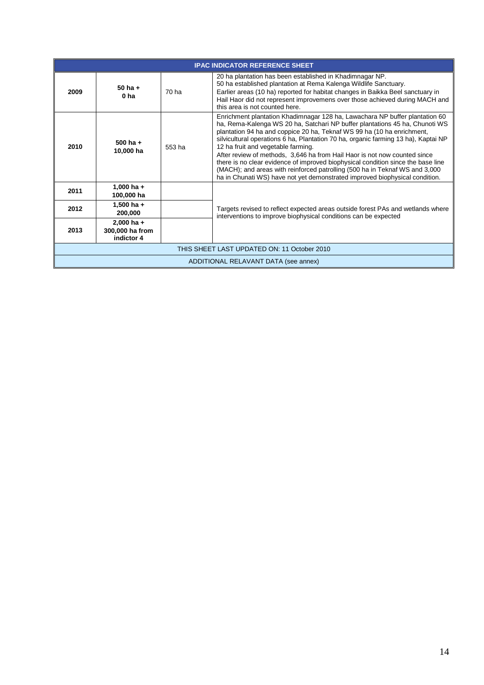|                                             | <b>IPAC INDICATOR REFERENCE SHEET</b>         |        |                                                                                                                                                                                                                                                                                                                                                                                                                                                                                                                                                                                                                                                                                                 |  |  |
|---------------------------------------------|-----------------------------------------------|--------|-------------------------------------------------------------------------------------------------------------------------------------------------------------------------------------------------------------------------------------------------------------------------------------------------------------------------------------------------------------------------------------------------------------------------------------------------------------------------------------------------------------------------------------------------------------------------------------------------------------------------------------------------------------------------------------------------|--|--|
| 2009                                        | $50$ ha $+$<br>0 <sub>ha</sub>                | 70 ha  | 20 ha plantation has been established in Khadimnagar NP.<br>50 ha established plantation at Rema Kalenga Wildlife Sanctuary.<br>Earlier areas (10 ha) reported for habitat changes in Baikka Beel sanctuary in<br>Hail Haor did not represent improvemens over those achieved during MACH and<br>this area is not counted here.                                                                                                                                                                                                                                                                                                                                                                 |  |  |
| 2010                                        | 500 ha $+$<br>10,000 ha                       | 553 ha | Enrichment plantation Khadimnagar 128 ha, Lawachara NP buffer plantation 60<br>ha, Rema-Kalenga WS 20 ha, Satchari NP buffer plantations 45 ha, Chunoti WS<br>plantation 94 ha and coppice 20 ha, Teknaf WS 99 ha (10 ha enrichment,<br>silvicultural operations 6 ha, Plantation 70 ha, organic farming 13 ha), Kaptai NP<br>12 ha fruit and vegetable farming.<br>After review of methods, 3,646 ha from Hail Haor is not now counted since<br>there is no clear evidence of improved biophysical condition since the base line<br>(MACH); and areas with reinforced patrolling (500 ha in Teknaf WS and 3,000<br>ha in Chunati WS) have not yet demonstrated improved biophysical condition. |  |  |
| 2011                                        | 1,000 ha $+$<br>100,000 ha                    |        |                                                                                                                                                                                                                                                                                                                                                                                                                                                                                                                                                                                                                                                                                                 |  |  |
| 2012                                        | 1,500 ha $+$<br>200,000                       |        | Targets revised to reflect expected areas outside forest PAs and wetlands where<br>interventions to improve biophysical conditions can be expected                                                                                                                                                                                                                                                                                                                                                                                                                                                                                                                                              |  |  |
| 2013                                        | $2,000$ ha +<br>300,000 ha from<br>indictor 4 |        |                                                                                                                                                                                                                                                                                                                                                                                                                                                                                                                                                                                                                                                                                                 |  |  |
| THIS SHEET LAST UPDATED ON: 11 October 2010 |                                               |        |                                                                                                                                                                                                                                                                                                                                                                                                                                                                                                                                                                                                                                                                                                 |  |  |
| ADDITIONAL RELAVANT DATA (see annex)        |                                               |        |                                                                                                                                                                                                                                                                                                                                                                                                                                                                                                                                                                                                                                                                                                 |  |  |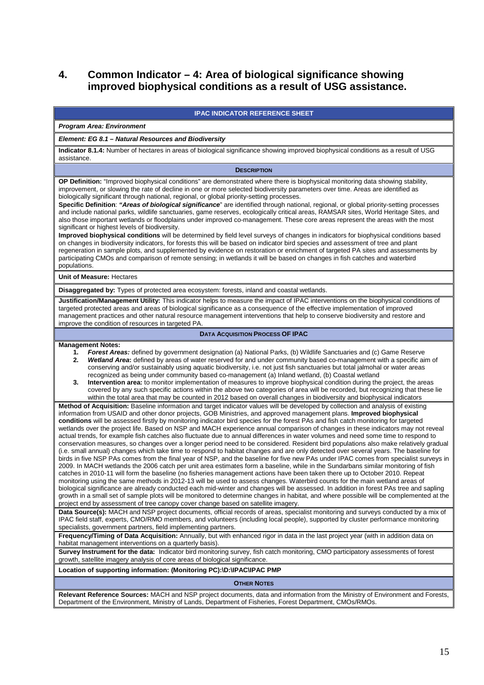# **4. Common Indicator – 4: Area of biological significance showing improved biophysical conditions as a result of USG assistance.**

#### **IPAC INDICATOR REFERENCE SHEET**

# **Program Area: Environment**

### **Element: EG 8.1 – Natural Resources and Biodiversity**

**Indicator 8.1.4:** Number of hectares in areas of biological significance showing improved biophysical conditions as a result of USG assistance.

| <b>DESCRIPTION</b> |  |  |  |
|--------------------|--|--|--|
|--------------------|--|--|--|

**OP Definition:** "Improved biophysical conditions" are demonstrated where there is biophysical monitoring data showing stability, improvement, or slowing the rate of decline in one or more selected biodiversity parameters over time. Areas are identified as biologically significant through national, regional, or global priority-setting processes.

**Specific Definition**: **"Areas of biological significance**" are identified through national, regional, or global priority-setting processes and include national parks, wildlife sanctuaries, game reserves, ecologically critical areas, RAMSAR sites, World Heritage Sites, and also those important wetlands or floodplains under improved co-management. These core areas represent the areas with the most significant or highest levels of biodiversity.

**Improved biophysical conditions** will be determined by field level surveys of changes in indicators for biophysical conditions based on changes in biodiversity indicators, for forests this will be based on indicator bird species and assessment of tree and plant regeneration in sample plots, and supplemented by evidence on restoration or enrichment of targeted PA sites and assessments by participating CMOs and comparison of remote sensing; in wetlands it will be based on changes in fish catches and waterbird populations.

**Unit of Measure:** Hectares

**Disaggregated by:** Types of protected area ecosystem: forests, inland and coastal wetlands.

**Justification/Management Utility:** This indicator helps to measure the impact of IPAC interventions on the biophysical conditions of targeted protected areas and areas of biological significance as a consequence of the effective implementation of improved management practices and other natural resource management interventions that help to conserve biodiversity and restore and improve the condition of resources in targeted PA.

#### **DATA ACQUISITION PROCESS OF IPAC**

#### **Management Notes:**

- **1. Forest Areas:** defined by government designation (a) National Parks, (b) Wildlife Sanctuaries and (c) Game Reserve **2. Wetland Area:** defined by areas of water reserved for and under community based co-management with a specific aim of conserving and/or sustainably using aquatic biodiversity, i.e. not just fish sanctuaries but total jalmohal or water areas recognized as being under community based co-management (a) Inland wetland, (b) Coastal wetland
- **3. Intervention area:** to monitor implementation of measures to improve biophysical condition during the project, the areas covered by any such specific actions within the above two categories of area will be recorded, but recognizing that these lie within the total area that may be counted in 2012 based on overall changes in biodiversity and biophysical indicators

**Method of Acquisition:** Baseline information and target indicator values will be developed by collection and analysis of existing information from USAID and other donor projects, GOB Ministries, and approved management plans. **Improved biophysical conditions** will be assessed firstly by monitoring indicator bird species for the forest PAs and fish catch monitoring for targeted wetlands over the project life. Based on NSP and MACH experience annual comparison of changes in these indicators may not reveal actual trends, for example fish catches also fluctuate due to annual differences in water volumes and need some time to respond to conservation measures, so changes over a longer period need to be considered. Resident bird populations also make relatively gradual (i.e. small annual) changes which take time to respond to habitat changes and are only detected over several years. The baseline for birds in five NSP PAs comes from the final year of NSP, and the baseline for five new PAs under IPAC comes from specialist surveys in 2009. In MACH wetlands the 2006 catch per unit area estimates form a baseline, while in the Sundarbans similar monitoring of fish catches in 2010-11 will form the baseline (no fisheries management actions have been taken there up to October 2010. Repeat monitoring using the same methods in 2012-13 will be used to assess changes. Waterbird counts for the main wetland areas of biological significance are already conducted each mid-winter and changes will be assessed. In addition in forest PAs tree and sapling growth in a small set of sample plots will be monitored to determine changes in habitat, and where possible will be complemented at the project end by assessment of tree canopy cover change based on satellite imagery.

Data Source(s): MACH and NSP project documents, official records of areas, specialist monitoring and surveys conducted by a mix of IPAC field staff, experts, CMO/RMO members, and volunteers (including local people), supported by cluster performance monitoring specialists, government partners, field implementing partners.

**Frequency/Timing of Data Acquisition:** Annually, but with enhanced rigor in data in the last project year (with in addition data on habitat management interventions on a quarterly basis).

**Survey Instrument for the data:** Indicator bird monitoring survey, fish catch monitoring, CMO participatory assessments of forest growth, satellite imagery analysis of core areas of biological significance.

#### **Location of supporting information: (Monitoring PC):\D:\IPAC\IPAC PMP**

**OTHER NOTES**

**Relevant Reference Sources:** MACH and NSP project documents, data and information from the Ministry of Environment and Forests, Department of the Environment, Ministry of Lands, Department of Fisheries, Forest Department, CMOs/RMOs.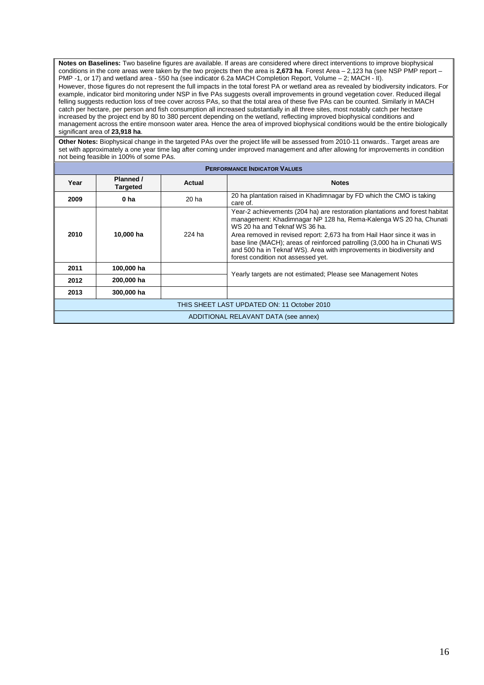**Notes on Baselines:** Two baseline figures are available. If areas are considered where direct interventions to improve biophysical conditions in the core areas were taken by the two projects then the area is **2,673 ha**. Forest Area – 2,123 ha (see NSP PMP report – PMP -1, or 17) and wetland area - 550 ha (see indicator 6.2a MACH Completion Report, Volume – 2; MACH - II).

However, those figures do not represent the full impacts in the total forest PA or wetland area as revealed by biodiversity indicators. For example, indicator bird monitoring under NSP in five PAs suggests overall improvements in ground vegetation cover. Reduced illegal felling suggests reduction loss of tree cover across PAs, so that the total area of these five PAs can be counted. Similarly in MACH catch per hectare, per person and fish consumption all increased substantially in all three sites, most notably catch per hectare increased by the project end by 80 to 380 percent depending on the wetland, reflecting improved biophysical conditions and management across the entire monsoon water area. Hence the area of improved biophysical conditions would be the entire biologically significant area of **23,918 ha**.

**Other Notes:** Biophysical change in the targeted PAs over the project life will be assessed from 2010-11 onwards.. Target areas are set with approximately a one year time lag after coming under improved management and after allowing for improvements in condition not being feasible in 100% of some PAs.

| <b>PERFORMANCE INDICATOR VALUES</b>         |                                      |                  |                                                                                                                                                                                                                                                                                                                                                                                                                                                        |  |  |
|---------------------------------------------|--------------------------------------|------------------|--------------------------------------------------------------------------------------------------------------------------------------------------------------------------------------------------------------------------------------------------------------------------------------------------------------------------------------------------------------------------------------------------------------------------------------------------------|--|--|
| Year                                        | Planned /<br><b>Targeted</b>         | Actual           | <b>Notes</b>                                                                                                                                                                                                                                                                                                                                                                                                                                           |  |  |
| 2009                                        | 0 <sub>ha</sub>                      | 20 <sub>ha</sub> | 20 ha plantation raised in Khadimnagar by FD which the CMO is taking<br>care of.                                                                                                                                                                                                                                                                                                                                                                       |  |  |
| 2010                                        | 10,000 ha                            | 224 ha           | Year-2 achievements (204 ha) are restoration plantations and forest habitat<br>management: Khadimnagar NP 128 ha, Rema-Kalenga WS 20 ha, Chunati<br>WS 20 ha and Teknaf WS 36 ha.<br>Area removed in revised report: 2,673 ha from Hail Haor since it was in<br>base line (MACH); areas of reinforced patrolling (3,000 ha in Chunati WS<br>and 500 ha in Teknaf WS). Area with improvements in biodiversity and<br>forest condition not assessed yet. |  |  |
| 2011                                        | 100,000 ha                           |                  | Yearly targets are not estimated; Please see Management Notes                                                                                                                                                                                                                                                                                                                                                                                          |  |  |
| 2012                                        | 200,000 ha                           |                  |                                                                                                                                                                                                                                                                                                                                                                                                                                                        |  |  |
| 2013                                        | 300,000 ha                           |                  |                                                                                                                                                                                                                                                                                                                                                                                                                                                        |  |  |
| THIS SHEET LAST UPDATED ON: 11 October 2010 |                                      |                  |                                                                                                                                                                                                                                                                                                                                                                                                                                                        |  |  |
|                                             | ADDITIONAL RELAVANT DATA (see annex) |                  |                                                                                                                                                                                                                                                                                                                                                                                                                                                        |  |  |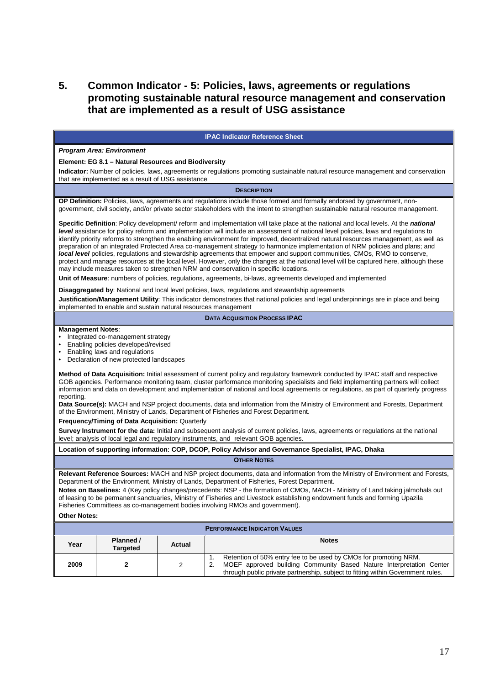# **5. Common Indicator - 5: Policies, laws, agreements or regulations promoting sustainable natural resource management and conservation that are implemented as a result of USG assistance**

|                                                                                                                                                                                                                                                                                                                                                                                                                                                                                                                                                                                                                                                                                                                                                                                                                                                                                                                                                                                                                                                                                                                                                                  | <b>IPAC Indicator Reference Sheet</b>                                                                                                                                                                                                                                                                                                                                                                                                                                                                                                                                                                                                                                                                                                                                                                                                                                                                                 |               |                                                                                                                                                                                                                                                                  |  |  |
|------------------------------------------------------------------------------------------------------------------------------------------------------------------------------------------------------------------------------------------------------------------------------------------------------------------------------------------------------------------------------------------------------------------------------------------------------------------------------------------------------------------------------------------------------------------------------------------------------------------------------------------------------------------------------------------------------------------------------------------------------------------------------------------------------------------------------------------------------------------------------------------------------------------------------------------------------------------------------------------------------------------------------------------------------------------------------------------------------------------------------------------------------------------|-----------------------------------------------------------------------------------------------------------------------------------------------------------------------------------------------------------------------------------------------------------------------------------------------------------------------------------------------------------------------------------------------------------------------------------------------------------------------------------------------------------------------------------------------------------------------------------------------------------------------------------------------------------------------------------------------------------------------------------------------------------------------------------------------------------------------------------------------------------------------------------------------------------------------|---------------|------------------------------------------------------------------------------------------------------------------------------------------------------------------------------------------------------------------------------------------------------------------|--|--|
|                                                                                                                                                                                                                                                                                                                                                                                                                                                                                                                                                                                                                                                                                                                                                                                                                                                                                                                                                                                                                                                                                                                                                                  | <b>Program Area: Environment</b>                                                                                                                                                                                                                                                                                                                                                                                                                                                                                                                                                                                                                                                                                                                                                                                                                                                                                      |               |                                                                                                                                                                                                                                                                  |  |  |
|                                                                                                                                                                                                                                                                                                                                                                                                                                                                                                                                                                                                                                                                                                                                                                                                                                                                                                                                                                                                                                                                                                                                                                  | Element: EG 8.1 – Natural Resources and Biodiversity                                                                                                                                                                                                                                                                                                                                                                                                                                                                                                                                                                                                                                                                                                                                                                                                                                                                  |               |                                                                                                                                                                                                                                                                  |  |  |
|                                                                                                                                                                                                                                                                                                                                                                                                                                                                                                                                                                                                                                                                                                                                                                                                                                                                                                                                                                                                                                                                                                                                                                  | that are implemented as a result of USG assistance                                                                                                                                                                                                                                                                                                                                                                                                                                                                                                                                                                                                                                                                                                                                                                                                                                                                    |               | Indicator: Number of policies, laws, agreements or regulations promoting sustainable natural resource management and conservation                                                                                                                                |  |  |
|                                                                                                                                                                                                                                                                                                                                                                                                                                                                                                                                                                                                                                                                                                                                                                                                                                                                                                                                                                                                                                                                                                                                                                  |                                                                                                                                                                                                                                                                                                                                                                                                                                                                                                                                                                                                                                                                                                                                                                                                                                                                                                                       |               | <b>DESCRIPTION</b>                                                                                                                                                                                                                                               |  |  |
|                                                                                                                                                                                                                                                                                                                                                                                                                                                                                                                                                                                                                                                                                                                                                                                                                                                                                                                                                                                                                                                                                                                                                                  |                                                                                                                                                                                                                                                                                                                                                                                                                                                                                                                                                                                                                                                                                                                                                                                                                                                                                                                       |               | OP Definition: Policies, laws, agreements and regulations include those formed and formally endorsed by government, non-<br>government, civil society, and/or private sector stakeholders with the intent to strengthen sustainable natural resource management. |  |  |
|                                                                                                                                                                                                                                                                                                                                                                                                                                                                                                                                                                                                                                                                                                                                                                                                                                                                                                                                                                                                                                                                                                                                                                  | Specific Definition: Policy development/ reform and implementation will take place at the national and local levels. At the national<br>level assistance for policy reform and implementation will include an assessment of national level policies, laws and regulations to<br>identify priority reforms to strengthen the enabling environment for improved, decentralized natural resources management, as well as<br>preparation of an integrated Protected Area co-management strategy to harmonize implementation of NRM policies and plans; and<br>local level policies, regulations and stewardship agreements that empower and support communities, CMOs, RMO to conserve,<br>protect and manage resources at the local level. However, only the changes at the national level will be captured here, although these<br>may include measures taken to strengthen NRM and conservation in specific locations. |               |                                                                                                                                                                                                                                                                  |  |  |
|                                                                                                                                                                                                                                                                                                                                                                                                                                                                                                                                                                                                                                                                                                                                                                                                                                                                                                                                                                                                                                                                                                                                                                  |                                                                                                                                                                                                                                                                                                                                                                                                                                                                                                                                                                                                                                                                                                                                                                                                                                                                                                                       |               | Unit of Measure: numbers of policies, regulations, agreements, bi-laws, agreements developed and implemented                                                                                                                                                     |  |  |
|                                                                                                                                                                                                                                                                                                                                                                                                                                                                                                                                                                                                                                                                                                                                                                                                                                                                                                                                                                                                                                                                                                                                                                  |                                                                                                                                                                                                                                                                                                                                                                                                                                                                                                                                                                                                                                                                                                                                                                                                                                                                                                                       |               | Disaggregated by: National and local level policies, laws, regulations and stewardship agreements                                                                                                                                                                |  |  |
|                                                                                                                                                                                                                                                                                                                                                                                                                                                                                                                                                                                                                                                                                                                                                                                                                                                                                                                                                                                                                                                                                                                                                                  | implemented to enable and sustain natural resources management                                                                                                                                                                                                                                                                                                                                                                                                                                                                                                                                                                                                                                                                                                                                                                                                                                                        |               | Justification/Management Utility: This indicator demonstrates that national policies and legal underpinnings are in place and being                                                                                                                              |  |  |
|                                                                                                                                                                                                                                                                                                                                                                                                                                                                                                                                                                                                                                                                                                                                                                                                                                                                                                                                                                                                                                                                                                                                                                  |                                                                                                                                                                                                                                                                                                                                                                                                                                                                                                                                                                                                                                                                                                                                                                                                                                                                                                                       |               | <b>DATA ACQUISITION PROCESS IPAC</b>                                                                                                                                                                                                                             |  |  |
| <b>Management Notes:</b><br>Integrated co-management strategy<br>$\bullet$<br>Enabling policies developed/revised<br>Enabling laws and regulations<br>$\bullet$<br>Declaration of new protected landscapes<br><b>Method of Data Acquisition:</b> Initial assessment of current policy and regulatory framework conducted by IPAC staff and respective<br>GOB agencies. Performance monitoring team, cluster performance monitoring specialists and field implementing partners will collect<br>information and data on development and implementation of national and local agreements or regulations, as part of quarterly progress<br>reporting.<br>Data Source(s): MACH and NSP project documents, data and information from the Ministry of Environment and Forests, Department<br>of the Environment, Ministry of Lands, Department of Fisheries and Forest Department.<br>Frequency/Timing of Data Acquisition: Quarterly<br>Survey Instrument for the data: Initial and subsequent analysis of current policies, laws, agreements or regulations at the national<br>level; analysis of local legal and regulatory instruments, and relevant GOB agencies. |                                                                                                                                                                                                                                                                                                                                                                                                                                                                                                                                                                                                                                                                                                                                                                                                                                                                                                                       |               |                                                                                                                                                                                                                                                                  |  |  |
|                                                                                                                                                                                                                                                                                                                                                                                                                                                                                                                                                                                                                                                                                                                                                                                                                                                                                                                                                                                                                                                                                                                                                                  |                                                                                                                                                                                                                                                                                                                                                                                                                                                                                                                                                                                                                                                                                                                                                                                                                                                                                                                       |               | Location of supporting information: COP, DCOP, Policy Advisor and Governance Specialist, IPAC, Dhaka                                                                                                                                                             |  |  |
|                                                                                                                                                                                                                                                                                                                                                                                                                                                                                                                                                                                                                                                                                                                                                                                                                                                                                                                                                                                                                                                                                                                                                                  |                                                                                                                                                                                                                                                                                                                                                                                                                                                                                                                                                                                                                                                                                                                                                                                                                                                                                                                       |               | <b>OTHER NOTES</b>                                                                                                                                                                                                                                               |  |  |
| Relevant Reference Sources: MACH and NSP project documents, data and information from the Ministry of Environment and Forests,<br>Department of the Environment, Ministry of Lands, Department of Fisheries, Forest Department.<br>Notes on Baselines: 4 (Key policy changes/precedents: NSP - the formation of CMOs, MACH - Ministry of Land taking jalmohals out<br>of leasing to be permanent sanctuaries, Ministry of Fisheries and Livestock establishing endowment funds and forming Upazila<br>Fisheries Committees as co-management bodies involving RMOs and government).<br><b>Other Notes:</b>                                                                                                                                                                                                                                                                                                                                                                                                                                                                                                                                                        |                                                                                                                                                                                                                                                                                                                                                                                                                                                                                                                                                                                                                                                                                                                                                                                                                                                                                                                       |               |                                                                                                                                                                                                                                                                  |  |  |
|                                                                                                                                                                                                                                                                                                                                                                                                                                                                                                                                                                                                                                                                                                                                                                                                                                                                                                                                                                                                                                                                                                                                                                  |                                                                                                                                                                                                                                                                                                                                                                                                                                                                                                                                                                                                                                                                                                                                                                                                                                                                                                                       |               | <b>PERFORMANCE INDICATOR VALUES</b>                                                                                                                                                                                                                              |  |  |
| Year                                                                                                                                                                                                                                                                                                                                                                                                                                                                                                                                                                                                                                                                                                                                                                                                                                                                                                                                                                                                                                                                                                                                                             | Planned /<br><b>Targeted</b>                                                                                                                                                                                                                                                                                                                                                                                                                                                                                                                                                                                                                                                                                                                                                                                                                                                                                          | <b>Actual</b> | <b>Notes</b>                                                                                                                                                                                                                                                     |  |  |
| 2009                                                                                                                                                                                                                                                                                                                                                                                                                                                                                                                                                                                                                                                                                                                                                                                                                                                                                                                                                                                                                                                                                                                                                             | $\mathbf{2}$                                                                                                                                                                                                                                                                                                                                                                                                                                                                                                                                                                                                                                                                                                                                                                                                                                                                                                          | 2             | Retention of 50% entry fee to be used by CMOs for promoting NRM.<br>1.<br>MOEF approved building Community Based Nature Interpretation Center<br>2.<br>through public private partnership, subject to fitting within Government rules.                           |  |  |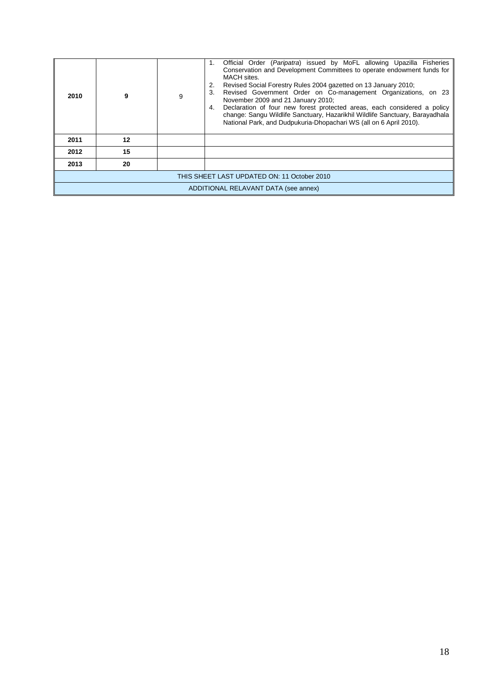| 2010                                        | 9  | 9 | Official Order (Paripatra) issued by MoFL allowing Upazilla Fisheries<br>1.<br>Conservation and Development Committees to operate endowment funds for<br>MACH sites.<br>Revised Social Forestry Rules 2004 gazetted on 13 January 2010;<br>Revised Government Order on Co-management Organizations, on 23<br>3.<br>November 2009 and 21 January 2010;<br>Declaration of four new forest protected areas, each considered a policy<br>4.<br>change: Sangu Wildlife Sanctuary, Hazarikhil Wildlife Sanctuary, Barayadhala<br>National Park, and Dudpukuria-Dhopachari WS (all on 6 April 2010). |  |
|---------------------------------------------|----|---|-----------------------------------------------------------------------------------------------------------------------------------------------------------------------------------------------------------------------------------------------------------------------------------------------------------------------------------------------------------------------------------------------------------------------------------------------------------------------------------------------------------------------------------------------------------------------------------------------|--|
| 2011                                        | 12 |   |                                                                                                                                                                                                                                                                                                                                                                                                                                                                                                                                                                                               |  |
| 2012                                        | 15 |   |                                                                                                                                                                                                                                                                                                                                                                                                                                                                                                                                                                                               |  |
| 2013                                        | 20 |   |                                                                                                                                                                                                                                                                                                                                                                                                                                                                                                                                                                                               |  |
| THIS SHEET LAST UPDATED ON: 11 October 2010 |    |   |                                                                                                                                                                                                                                                                                                                                                                                                                                                                                                                                                                                               |  |
| ADDITIONAL RELAVANT DATA (see annex)        |    |   |                                                                                                                                                                                                                                                                                                                                                                                                                                                                                                                                                                                               |  |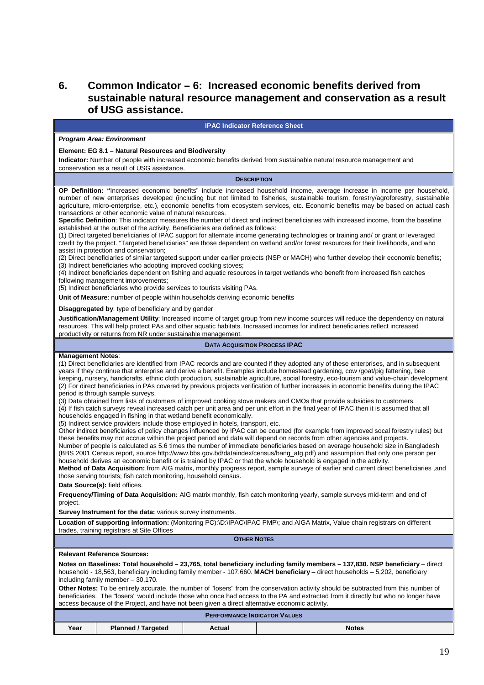# **6. Common Indicator – 6: Increased economic benefits derived from sustainable natural resource management and conservation as a result of USG assistance.**

#### **IPAC Indicator Reference Sheet**

#### **Program Area: Environment**

#### **Element: EG 8.1 – Natural Resources and Biodiversity**

**Indicator:** Number of people with increased economic benefits derived from sustainable natural resource management and conservation as a result of USG assistance.

#### **DESCRIPTION**

**OP Definition: "**Increased economic benefits" include increased household income, average increase in income per household, number of new enterprises developed (including but not limited to fisheries, sustainable tourism, forestry/agroforestry, sustainable agriculture, micro-enterprise, etc.), economic benefits from ecosystem services, etc. Economic benefits may be based on actual cash transactions or other economic value of natural resources.

**Specific Definition**: This indicator measures the number of direct and indirect beneficiaries with increased income, from the baseline established at the outset of the activity. Beneficiaries are defined as follows:

(1) Direct targeted beneficiaries of IPAC support for alternate income generating technologies or training and/ or grant or leveraged credit by the project. "Targeted beneficiaries" are those dependent on wetland and/or forest resources for their livelihoods, and who assist in protection and conservation;

(2) Direct beneficiaries of similar targeted support under earlier projects (NSP or MACH) who further develop their economic benefits; (3) Indirect beneficiaries who adopting improved cooking stoves;

(4) Indirect beneficiaries dependent on fishing and aquatic resources in target wetlands who benefit from increased fish catches following management improvements;

(5) Indirect beneficiaries who provide services to tourists visiting PAs.

**Unit of Measure**: number of people within households deriving economic benefits

**Disaggregated by**: type of beneficiary and by gender

**Justification/Management Utility**: Increased income of target group from new income sources will reduce the dependency on natural resources. This will help protect PAs and other aquatic habitats. Increased incomes for indirect beneficiaries reflect increased productivity or returns from NR under sustainable management.

#### **DATA ACQUISITION PROCESS IPAC**

#### **Management Notes**:

(1) Direct beneficiaries are identified from IPAC records and are counted if they adopted any of these enterprises, and in subsequent years if they continue that enterprise and derive a benefit. Examples include homestead gardening, cow /goat/pig fattening, bee keeping, nursery, handicrafts, ethnic cloth production, sustainable agriculture, social forestry, eco-tourism and value-chain development (2) For direct beneficiaries in PAs covered by previous projects verification of further increases in economic benefits during the IPAC period is through sample surveys.

(3) Data obtained from lists of customers of improved cooking stove makers and CMOs that provide subsidies to customers.

(4) If fish catch surveys reveal increased catch per unit area and per unit effort in the final year of IPAC then it is assumed that all households engaged in fishing in that wetland benefit economically.

(5) Indirect service providers include those employed in hotels, transport, etc.

Other indirect beneficiaries of policy changes influenced by IPAC can be counted (for example from improved socal forestry rules) but these benefits may not accrue within the project period and data will depend on records from other agencies and projects. Number of people is calculated as 5.6 times the number of immediate beneficiaries based on average household size in Bangladesh

(BBS 2001 Census report, source http://www.bbs.gov.bd/dataindex/census/bang\_atg.pdf) and assumption that only one person per household derives an economic benefit or is trained by IPAC or that the whole household is engaged in the activity.

**Method of Data Acquisition:** from AIG matrix, monthly progress report, sample surveys of earlier and current direct beneficiaries ,and those serving tourists; fish catch monitoring, household census.

**Data Source(s):** field offices.

**Frequency/Timing of Data Acquisition:** AIG matrix monthly, fish catch monitoring yearly, sample surveys mid-term and end of project.

**Survey Instrument for the data:** various survey instruments.

**Location of supporting information:** (Monitoring PC):\D:\IPAC\IPAC PMP\; and AIGA Matrix, Value chain registrars on different trades, training registrars at Site Offices

**OTHER NOTES**

#### **Relevant Reference Sources:**

**Notes on Baselines: Total household – 23,765, total beneficiary including family members – 137,830. NSP beneficiary** – direct household - 18,563, beneficiary including family member - 107,660. **MACH beneficiary** – direct households – 5,202, beneficiary including family member  $-30,170$ .

**Other Notes:** To be entirely accurate, the number of "losers" from the conservation activity should be subtracted from this number of beneficiaries. The "losers" would include those who once had access to the PA and extracted from it directly but who no longer have access because of the Project, and have not been given a direct alternative economic activity.

| <b>PERFORMANCE INDICATOR VALUES</b> |                           |        |              |  |
|-------------------------------------|---------------------------|--------|--------------|--|
| Year                                | <b>Planned / Targeted</b> | Actual | <b>Notes</b> |  |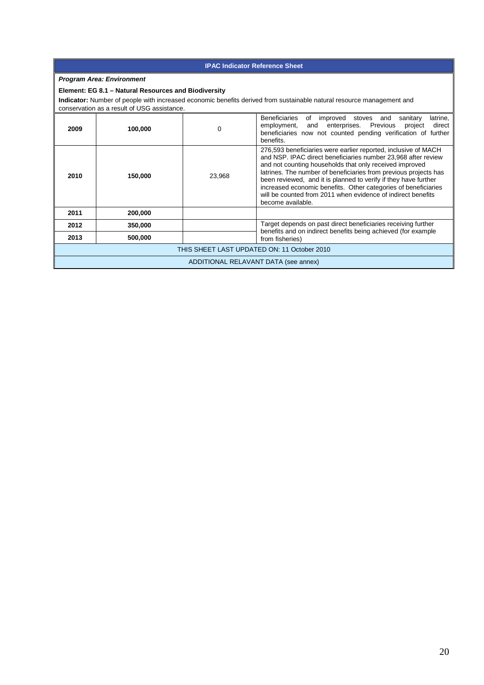| <b>IPAC Indicator Reference Sheet</b>          |                                                      |                                                                                                                                                                                                                                                                                                                                                                                                                                                                     |                                                                                                                                                                                                                      |
|------------------------------------------------|------------------------------------------------------|---------------------------------------------------------------------------------------------------------------------------------------------------------------------------------------------------------------------------------------------------------------------------------------------------------------------------------------------------------------------------------------------------------------------------------------------------------------------|----------------------------------------------------------------------------------------------------------------------------------------------------------------------------------------------------------------------|
|                                                | <b>Program Area: Environment</b>                     |                                                                                                                                                                                                                                                                                                                                                                                                                                                                     |                                                                                                                                                                                                                      |
|                                                | Element: EG 8.1 - Natural Resources and Biodiversity |                                                                                                                                                                                                                                                                                                                                                                                                                                                                     |                                                                                                                                                                                                                      |
|                                                | conservation as a result of USG assistance.          |                                                                                                                                                                                                                                                                                                                                                                                                                                                                     | Indicator: Number of people with increased economic benefits derived from sustainable natural resource management and                                                                                                |
| 2009                                           | 100,000                                              | 0                                                                                                                                                                                                                                                                                                                                                                                                                                                                   | Beneficiaries<br>of improved stoves<br>sanitary<br>and<br>latrine.<br>enterprises. Previous<br>employment,<br>direct<br>and<br>project<br>beneficiaries now not counted pending verification of further<br>benefits. |
| 23,968<br>2010<br>150,000<br>become available. |                                                      | 276,593 beneficiaries were earlier reported, inclusive of MACH<br>and NSP. IPAC direct beneficiaries number 23,968 after review<br>and not counting households that only received improved<br>latrines. The number of beneficiaries from previous projects has<br>been reviewed, and it is planned to verify if they have further<br>increased economic benefits. Other categories of beneficiaries<br>will be counted from 2011 when evidence of indirect benefits |                                                                                                                                                                                                                      |
| 2011                                           | 200,000                                              |                                                                                                                                                                                                                                                                                                                                                                                                                                                                     |                                                                                                                                                                                                                      |
| 2012                                           | 350,000                                              |                                                                                                                                                                                                                                                                                                                                                                                                                                                                     | Target depends on past direct beneficiaries receiving further<br>benefits and on indirect benefits being achieved (for example                                                                                       |
| 2013                                           | 500,000                                              |                                                                                                                                                                                                                                                                                                                                                                                                                                                                     | from fisheries)                                                                                                                                                                                                      |
| THIS SHEET LAST UPDATED ON: 11 October 2010    |                                                      |                                                                                                                                                                                                                                                                                                                                                                                                                                                                     |                                                                                                                                                                                                                      |
| ADDITIONAL RELAVANT DATA (see annex)           |                                                      |                                                                                                                                                                                                                                                                                                                                                                                                                                                                     |                                                                                                                                                                                                                      |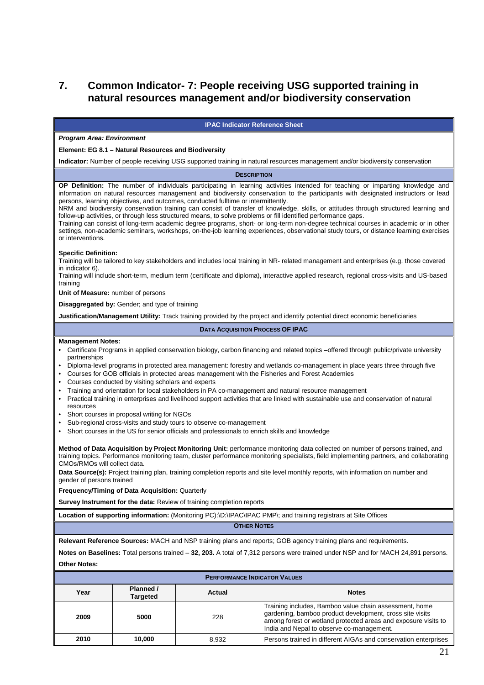# **7. Common Indicator- 7: People receiving USG supported training in natural resources management and/or biodiversity conservation**

#### **IPAC Indicator Reference Sheet**

#### **Program Area: Environment**

#### **Element: EG 8.1 – Natural Resources and Biodiversity**

**Indicator:** Number of people receiving USG supported training in natural resources management and/or biodiversity conservation

#### **DESCRIPTION**

**OP Definition:** The number of individuals participating in learning activities intended for teaching or imparting knowledge and information on natural resources management and biodiversity conservation to the participants with designated instructors or lead persons, learning objectives, and outcomes, conducted fulltime or intermittently.

NRM and biodiversity conservation training can consist of transfer of knowledge, skills, or attitudes through structured learning and follow-up activities, or through less structured means, to solve problems or fill identified performance gaps.

Training can consist of long-term academic degree programs, short- or long-term non-degree technical courses in academic or in other settings, non-academic seminars, workshops, on-the-job learning experiences, observational study tours, or distance learning exercises or interventions.

#### **Specific Definition:**

Training will be tailored to key stakeholders and includes local training in NR- related management and enterprises (e.g. those covered in indicator 6).

Training will include short-term, medium term (certificate and diploma), interactive applied research, regional cross-visits and US-based training

**Unit of Measure:** number of persons

**Disaggregated by:** Gender; and type of training

**Justification/Management Utility:** Track training provided by the project and identify potential direct economic beneficiaries

#### **DATA ACQUISITION PROCESS OF IPAC**

#### **Management Notes:**

- Certificate Programs in applied conservation biology, carbon financing and related topics –offered through public/private university partnerships
- Diploma-level programs in protected area management: forestry and wetlands co-management in place years three through five
- Courses for GOB officials in protected areas management with the Fisheries and Forest Academies
- Courses conducted by visiting scholars and experts
- Training and orientation for local stakeholders in PA co-management and natural resource management
- Practical training in enterprises and livelihood support activities that are linked with sustainable use and conservation of natural resources
- Short courses in proposal writing for NGOs
- Sub-regional cross-visits and study tours to observe co-management
- Short courses in the US for senior officials and professionals to enrich skills and knowledge

**Method of Data Acquisition by Project Monitoring Unit:** performance monitoring data collected on number of persons trained, and training topics. Performance monitoring team, cluster performance monitoring specialists, field implementing partners, and collaborating CMOs/RMOs will collect data.

Data Source(s): Project training plan, training completion reports and site level monthly reports, with information on number and gender of persons trained

**Frequency/Timing of Data Acquisition:** Quarterly

**Survey Instrument for the data:** Review of training completion reports

**Location of supporting information:** (Monitoring PC):\D:\IPAC\IPAC PMP\; and training registrars at Site Offices

**OTHER NOTES**

**Relevant Reference Sources:** MACH and NSP training plans and reports; GOB agency training plans and requirements.

**Notes on Baselines:** Total persons trained – **32, 203.** A total of 7,312 persons were trained under NSP and for MACH 24,891 persons. **Other Notes:**

| <b>PERFORMANCE INDICATOR VALUES</b> |                              |        |                                                                                                                                                                                                                                   |
|-------------------------------------|------------------------------|--------|-----------------------------------------------------------------------------------------------------------------------------------------------------------------------------------------------------------------------------------|
| Year                                | Planned /<br><b>Targeted</b> | Actual | <b>Notes</b>                                                                                                                                                                                                                      |
| 2009                                | 5000                         | 228    | Training includes, Bamboo value chain assessment, home<br>gardening, bamboo product development, cross site visits<br>among forest or wetland protected areas and exposure visits to<br>India and Nepal to observe co-management. |
| 2010                                | 10.000                       | 8.932  | Persons trained in different AIGAs and conservation enterprises                                                                                                                                                                   |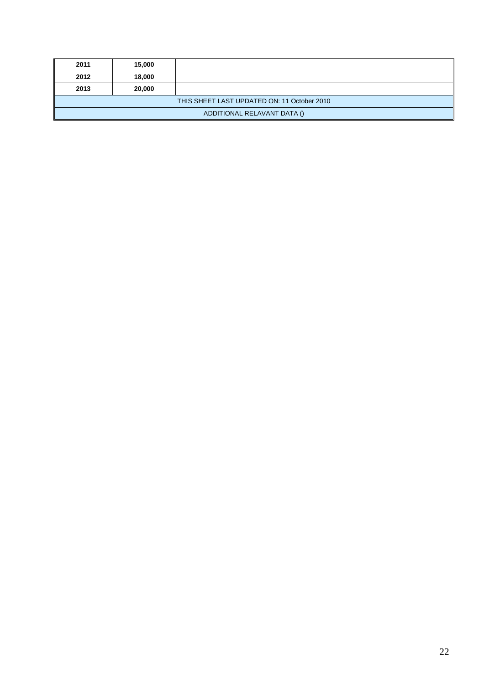| 2011                                        | 15,000 |  |  |  |  |
|---------------------------------------------|--------|--|--|--|--|
| 2012                                        | 18,000 |  |  |  |  |
| 2013                                        | 20,000 |  |  |  |  |
| THIS SHEET LAST UPDATED ON: 11 October 2010 |        |  |  |  |  |
| ADDITIONAL RELAVANT DATA ()                 |        |  |  |  |  |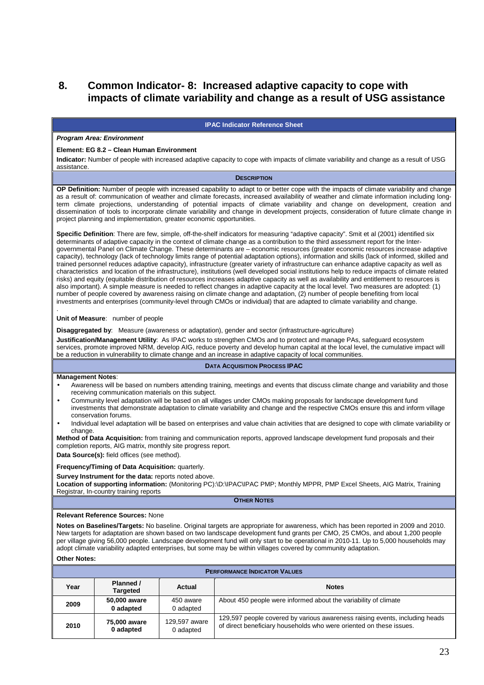# **8. Common Indicator- 8: Increased adaptive capacity to cope with impacts of climate variability and change as a result of USG assistance**

#### **IPAC Indicator Reference Sheet**

#### **Program Area: Environment**

#### **Element: EG 8.2 – Clean Human Environment**

**Indicator:** Number of people with increased adaptive capacity to cope with impacts of climate variability and change as a result of USG assistance.

#### **DESCRIPTION**

**OP Definition:** Number of people with increased capability to adapt to or better cope with the impacts of climate variability and change as a result of: communication of weather and climate forecasts, increased availability of weather and climate information including longterm climate projections, understanding of potential impacts of climate variability and change on development, creation and dissemination of tools to incorporate climate variability and change in development projects, consideration of future climate change in project planning and implementation, greater economic opportunities.

**Specific Definition**: There are few, simple, off-the-shelf indicators for measuring "adaptive capacity". Smit et al (2001) identified six determinants of adaptive capacity in the context of climate change as a contribution to the third assessment report for the Intergovernmental Panel on Climate Change. These determinants are – economic resources (greater economic resources increase adaptive capacity), technology (lack of technology limits range of potential adaptation options), information and skills (lack of informed, skilled and trained personnel reduces adaptive capacity), infrastructure (greater variety of infrastructure can enhance adaptive capacity as well as characteristics and location of the infrastructure), institutions (well developed social institutions help to reduce impacts of climate related risks) and equity (equitable distribution of resources increases adaptive capacity as well as availability and entitlement to resources is also important). A simple measure is needed to reflect changes in adaptive capacity at the local level. Two measures are adopted: (1) number of people covered by awareness raising on climate change and adaptation, (2) number of people benefiting from local investments and enterprises (community-level through CMOs or individual) that are adapted to climate variability and change.

#### **Unit of Measure**: number of people

**Disaggregated by**: Measure (awareness or adaptation), gender and sector (infrastructure-agriculture)

**Justification/Management Utility**: As IPAC works to strengthen CMOs and to protect and manage PAs, safeguard ecosystem services, promote improved NRM, develop AIG, reduce poverty and develop human capital at the local level, the cumulative impact will be a reduction in vulnerability to climate change and an increase in adaptive capacity of local communities.

#### **DATA ACQUISITION PROCESS IPAC**

#### **Management Notes**:

.

- Awareness will be based on numbers attending training, meetings and events that discuss climate change and variability and those receiving communication materials on this subject.
- Community level adaptation will be based on all villages under CMOs making proposals for landscape development fund investments that demonstrate adaptation to climate variability and change and the respective CMOs ensure this and inform village conservation forums.
- Individual level adaptation will be based on enterprises and value chain activities that are designed to cope with climate variability or change.

**Method of Data Acquisition:** from training and communication reports, approved landscape development fund proposals and their completion reports, AIG matrix, monthly site progress report.

**Data Source(s):** field offices (see method).

#### **Frequency/Timing of Data Acquisition:** quarterly.

**Survey Instrument for the data:** reports noted above.

**Location of supporting information:** (Monitoring PC):\D:\IPAC\IPAC PMP; Monthly MPPR, PMP Excel Sheets, AIG Matrix, Training Registrar, In-country training reports

**OTHER NOTES**

#### **Relevant Reference Sources:** None

**Notes on Baselines/Targets:** No baseline. Original targets are appropriate for awareness, which has been reported in 2009 and 2010. New targets for adaptation are shown based on two landscape development fund grants per CMO, 25 CMOs, and about 1,200 people per village giving 56,000 people. Landscape development fund will only start to be operational in 2010-11. Up to 5,000 households may adopt climate variability adapted enterprises, but some may be within villages covered by community adaptation. **Other Notes:**

| <b>PERFORMANCE INDICATOR VALUES</b> |                           |                            |                                                                                                                                                    |
|-------------------------------------|---------------------------|----------------------------|----------------------------------------------------------------------------------------------------------------------------------------------------|
| Year                                | Planned /<br>Targeted     | Actual                     | <b>Notes</b>                                                                                                                                       |
| 2009                                | 50,000 aware<br>0 adapted | 450 aware<br>0 adapted     | About 450 people were informed about the variability of climate                                                                                    |
| 2010                                | 75,000 aware<br>0 adapted | 129,597 aware<br>0 adapted | 129,597 people covered by various awareness raising events, including heads<br>of direct beneficiary households who were oriented on these issues. |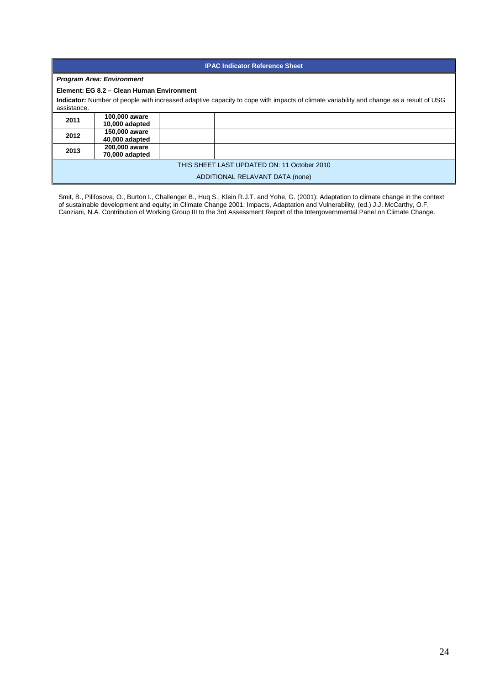| <b>IPAC Indicator Reference Sheet</b>                                                                                                                 |                                           |  |                                 |  |
|-------------------------------------------------------------------------------------------------------------------------------------------------------|-------------------------------------------|--|---------------------------------|--|
|                                                                                                                                                       | <b>Program Area: Environment</b>          |  |                                 |  |
|                                                                                                                                                       | Element: EG 8.2 - Clean Human Environment |  |                                 |  |
| Indicator: Number of people with increased adaptive capacity to cope with impacts of climate variability and change as a result of USG<br>assistance. |                                           |  |                                 |  |
| 2011                                                                                                                                                  | 100,000 aware<br>10,000 adapted           |  |                                 |  |
| 2012                                                                                                                                                  | 150,000 aware<br>40,000 adapted           |  |                                 |  |
| 2013                                                                                                                                                  | 200,000 aware<br>70,000 adapted           |  |                                 |  |
| THIS SHEET LAST UPDATED ON: 11 October 2010                                                                                                           |                                           |  |                                 |  |
|                                                                                                                                                       |                                           |  | ADDITIONAL RELAVANT DATA (none) |  |

Smit, B., Pilifosova, O., Burton I., Challenger B., Huq S., Klein R.J.T. and Yohe, G. (2001): Adaptation to climate change in the context of sustainable development and equity; in Climate Change 2001: Impacts, Adaptation and Vulnerability, (ed.) J.J. McCarthy, O.F. Canziani, N.A. Contribution of Working Group III to the 3rd Assessment Report of the Intergovernmental Panel on Climate Change.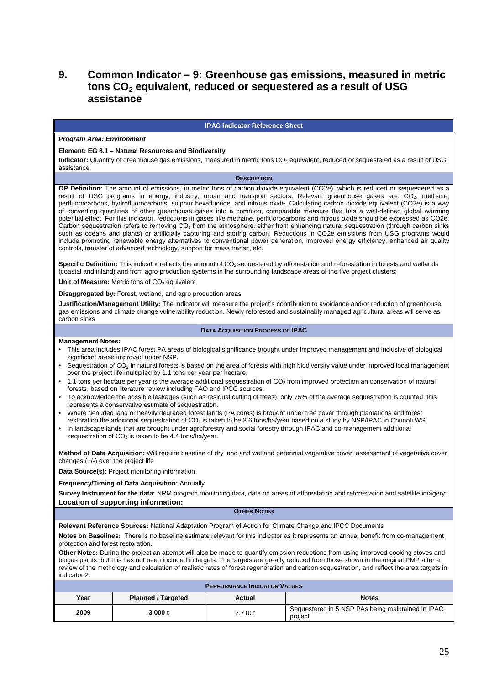# **9. Common Indicator – 9: Greenhouse gas emissions, measured in metric tons CO2 equivalent, reduced or sequestered as a result of USG assistance**

#### **IPAC Indicator Reference Sheet**

#### **Program Area: Environment**

#### **Element: EG 8.1 – Natural Resources and Biodiversity**

**Indicator:** Quantity of greenhouse gas emissions, measured in metric tons CO<sub>2</sub> equivalent, reduced or sequestered as a result of USG assistance

#### **DESCRIPTION**

**OP Definition:** The amount of emissions, in metric tons of carbon dioxide equivalent (CO2e), which is reduced or sequestered as a result of USG programs in energy, industry, urban and transport sectors. Relevant greenhouse gases are: CO<sub>2</sub>, methane, perfluorocarbons, hydrofluorocarbons, sulphur hexafluoride, and nitrous oxide. Calculating carbon dioxide equivalent (CO2e) is a way of converting quantities of other greenhouse gases into a common, comparable measure that has a well-defined global warming potential effect. For this indicator, reductions in gases like methane, perfluorocarbons and nitrous oxide should be expressed as CO2e. Carbon sequestration refers to removing  $CO<sub>2</sub>$  from the atmosphere, either from enhancing natural sequestration (through carbon sinks such as oceans and plants) or artificially capturing and storing carbon. Reductions in CO2e emissions from USG programs would include promoting renewable energy alternatives to conventional power generation, improved energy efficiency, enhanced air quality controls, transfer of advanced technology, support for mass transit, etc.

Specific Definition: This indicator reflects the amount of CO<sub>2</sub> sequestered by afforestation and reforestation in forests and wetlands (coastal and inland) and from agro-production systems in the surrounding landscape areas of the five project clusters;

**Unit of Measure:** Metric tons of CO<sub>2</sub> equivalent

**Disaggregated by:** Forest, wetland, and agro production areas

**Justification/Management Utility:** The indicator will measure the project's contribution to avoidance and/or reduction of greenhouse gas emissions and climate change vulnerability reduction. Newly reforested and sustainably managed agricultural areas will serve as carbon sinks

#### **DATA ACQUISITION PROCESS OF IPAC**

#### **Management Notes:**

- This area includes IPAC forest PA areas of biological significance brought under improved management and inclusive of biological significant areas improved under NSP.
- Sequestration of  $CO<sub>2</sub>$  in natural forests is based on the area of forests with high biodiversity value under improved local management over the project life multiplied by 1.1 tons per year per hectare.
- 1.1 tons per hectare per year is the average additional sequestration of CO<sub>2</sub> from improved protection an conservation of natural forests, based on literature review including FAO and IPCC sources.
- To acknowledge the possible leakages (such as residual cutting of trees), only 75% of the average sequestration is counted, this represents a conservative estimate of sequestration.
- Where denuded land or heavily degraded forest lands (PA cores) is brought under tree cover through plantations and forest restoration the additional sequestration of  $CO_2$  is taken to be 3.6 tons/ha/year based on a study by NSP/IPAC in Chunoti WS.
- In landscape lands that are brought under agroforestry and social forestry through IPAC and co-management additional sequestration of  $CO<sub>2</sub>$  is taken to be 4.4 tons/ha/year.

**Method of Data Acquisition:** Will require baseline of dry land and wetland perennial vegetative cover; assessment of vegetative cover changes (+/-) over the project life

**Data Source(s):** Project monitoring information

**Frequency/Timing of Data Acquisition:** Annually

**Survey Instrument for the data:** NRM program monitoring data, data on areas of afforestation and reforestation and satellite imagery; **Location of supporting information:** 

**OTHER NOTES**

**Relevant Reference Sources:** National Adaptation Program of Action for Climate Change and IPCC Documents

**Notes on Baselines:** There is no baseline estimate relevant for this indicator as it represents an annual benefit from co-management protection and forest restoration.

**Other Notes:** During the project an attempt will also be made to quantify emission reductions from using improved cooking stoves and biogas plants, but this has not been included in targets. The targets are greatly reduced from those shown in the original PMP after a review of the methology and calculation of realistic rates of forest regeneration and carbon sequestration, and reflect the area targets in indicator 2.

| <b>PERFORMANCE INDICATOR VALUES</b> |                           |        |                                                              |  |
|-------------------------------------|---------------------------|--------|--------------------------------------------------------------|--|
| Year                                | <b>Planned / Targeted</b> | Actual | <b>Notes</b>                                                 |  |
| 2009                                | 3.000 t                   | 2.710t | Sequestered in 5 NSP PAs being maintained in IPAC<br>project |  |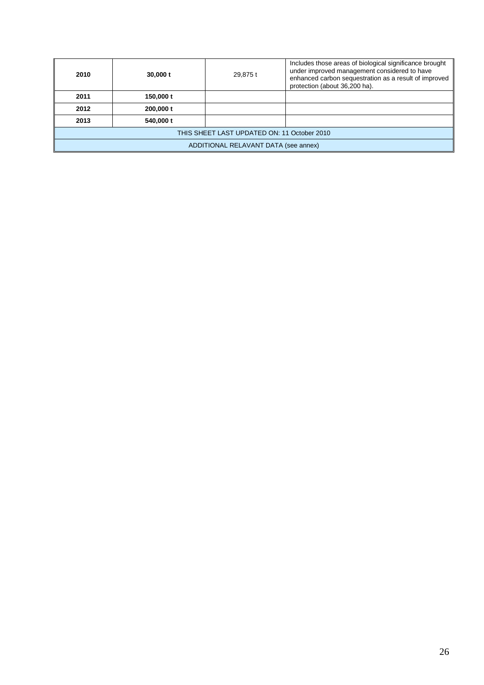| 2010                                        | $30,000$ t | 29,875 t | Includes those areas of biological significance brought<br>under improved management considered to have<br>enhanced carbon sequestration as a result of improved<br>protection (about 36,200 ha). |  |  |
|---------------------------------------------|------------|----------|---------------------------------------------------------------------------------------------------------------------------------------------------------------------------------------------------|--|--|
| 2011                                        | 150,000 t  |          |                                                                                                                                                                                                   |  |  |
| 2012                                        | 200,000 t  |          |                                                                                                                                                                                                   |  |  |
| 2013                                        | 540,000 t  |          |                                                                                                                                                                                                   |  |  |
| THIS SHEET LAST UPDATED ON: 11 October 2010 |            |          |                                                                                                                                                                                                   |  |  |
| ADDITIONAL RELAVANT DATA (see annex)        |            |          |                                                                                                                                                                                                   |  |  |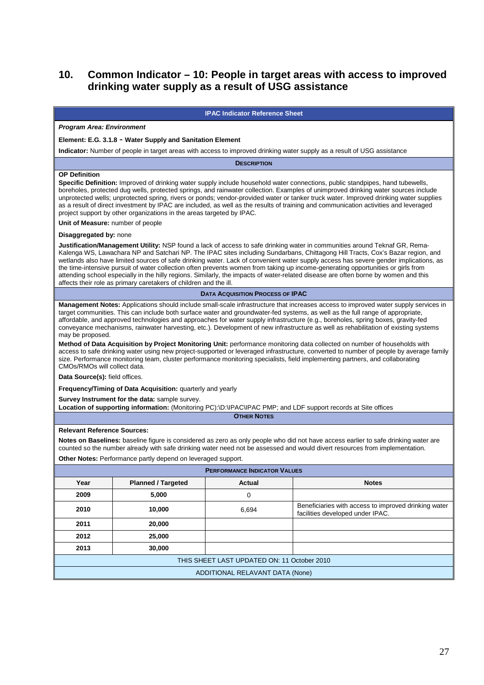# **10. Common Indicator – 10: People in target areas with access to improved drinking water supply as a result of USG assistance**

#### **IPAC Indicator Reference Sheet Program Area: Environment Element: E.G. 3.1.8 - Water Supply and Sanitation Element Indicator:** Number of people in target areas with access to improved drinking water supply as a result of USG assistance **DESCRIPTION OP Definition Specific Definition:** Improved of drinking water supply include household water connections, public standpipes, hand tubewells, boreholes, protected dug wells, protected springs, and rainwater collection. Examples of unimproved drinking water sources include unprotected wells; unprotected spring, rivers or ponds; vendor-provided water or tanker truck water. Improved drinking water supplies as a result of direct investment by IPAC are included, as well as the results of training and communication activities and leveraged project support by other organizations in the areas targeted by IPAC. **Unit of Measure:** number of people **Disaggregated by:** none **Justification/Management Utility:** NSP found a lack of access to safe drinking water in communities around Teknaf GR, Rema-Kalenga WS, Lawachara NP and Satchari NP. The IPAC sites including Sundarbans, Chittagong Hill Tracts, Cox's Bazar region, and wetlands also have limited sources of safe drinking water. Lack of convenient water supply access has severe gender implications, as the time-intensive pursuit of water collection often prevents women from taking up income-generating opportunities or girls from attending school especially in the hilly regions. Similarly, the impacts of water-related disease are often borne by women and this affects their role as primary caretakers of children and the ill. **DATA ACQUISITION PROCESS OF IPAC Management Notes:** Applications should include small-scale infrastructure that increases access to improved water supply services in target communities. This can include both surface water and groundwater-fed systems, as well as the full range of appropriate, affordable, and approved technologies and approaches for water supply infrastructure (e.g., boreholes, spring boxes, gravity-fed conveyance mechanisms, rainwater harvesting, etc.). Development of new infrastructure as well as rehabilitation of existing systems may be proposed. **Method of Data Acquisition by Project Monitoring Unit:** performance monitoring data collected on number of households with access to safe drinking water using new project-supported or leveraged infrastructure, converted to number of people by average family size. Performance monitoring team, cluster performance monitoring specialists, field implementing partners, and collaborating CMOs/RMOs will collect data. **Data Source(s):** field offices. **Frequency/Timing of Data Acquisition:** quarterly and yearly **Survey Instrument for the data:** sample survey. **Location of supporting information:** (Monitoring PC):\D:\IPAC\IPAC PMP; and LDF support records at Site offices **OTHER NOTES Relevant Reference Sources: Notes on Baselines:** baseline figure is considered as zero as only people who did not have access earlier to safe drinking water are counted so the number already with safe drinking water need not be assessed and would divert resources from implementation. **Other Notes:** Performance partly depend on leveraged support. **PERFORMANCE INDICATOR VALUES Year**  Planned / Targeted **Actual Actual**  Notes **2009 5,000** 0 **2010 10,000 10,000 10,000 6.694** Beneficiaries with access to improved drinking water facilities developed under IPAC.

THIS SHEET LAST UPDATED ON: 11 October 2010 ADDITIONAL RELAVANT DATA (None)

**2011 20,000 2012 25,000 2013 30,000**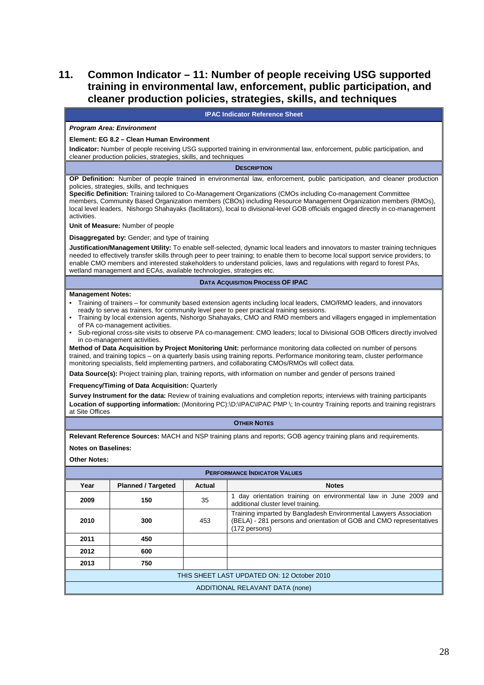# **11. Common Indicator – 11: Number of people receiving USG supported training in environmental law, enforcement, public participation, and cleaner production policies, strategies, skills, and techniques**

|                                                                                                                                                                                                                                                                                                                                                                                                                                                                                                                                                                                                                                                                                                                                                                                                                                                                                                                                                                                                                                                                                                                                                                                                                                                                                                                                                                                                            | <b>IPAC Indicator Reference Sheet</b>                                |        |                                                                                                                                                                                                                                                                                                                                                                                              |  |
|------------------------------------------------------------------------------------------------------------------------------------------------------------------------------------------------------------------------------------------------------------------------------------------------------------------------------------------------------------------------------------------------------------------------------------------------------------------------------------------------------------------------------------------------------------------------------------------------------------------------------------------------------------------------------------------------------------------------------------------------------------------------------------------------------------------------------------------------------------------------------------------------------------------------------------------------------------------------------------------------------------------------------------------------------------------------------------------------------------------------------------------------------------------------------------------------------------------------------------------------------------------------------------------------------------------------------------------------------------------------------------------------------------|----------------------------------------------------------------------|--------|----------------------------------------------------------------------------------------------------------------------------------------------------------------------------------------------------------------------------------------------------------------------------------------------------------------------------------------------------------------------------------------------|--|
|                                                                                                                                                                                                                                                                                                                                                                                                                                                                                                                                                                                                                                                                                                                                                                                                                                                                                                                                                                                                                                                                                                                                                                                                                                                                                                                                                                                                            | <b>Program Area: Environment</b>                                     |        |                                                                                                                                                                                                                                                                                                                                                                                              |  |
|                                                                                                                                                                                                                                                                                                                                                                                                                                                                                                                                                                                                                                                                                                                                                                                                                                                                                                                                                                                                                                                                                                                                                                                                                                                                                                                                                                                                            | Element: EG 8.2 - Clean Human Environment                            |        |                                                                                                                                                                                                                                                                                                                                                                                              |  |
|                                                                                                                                                                                                                                                                                                                                                                                                                                                                                                                                                                                                                                                                                                                                                                                                                                                                                                                                                                                                                                                                                                                                                                                                                                                                                                                                                                                                            | cleaner production policies, strategies, skills, and techniques      |        | Indicator: Number of people receiving USG supported training in environmental law, enforcement, public participation, and                                                                                                                                                                                                                                                                    |  |
|                                                                                                                                                                                                                                                                                                                                                                                                                                                                                                                                                                                                                                                                                                                                                                                                                                                                                                                                                                                                                                                                                                                                                                                                                                                                                                                                                                                                            |                                                                      |        | <b>DESCRIPTION</b>                                                                                                                                                                                                                                                                                                                                                                           |  |
|                                                                                                                                                                                                                                                                                                                                                                                                                                                                                                                                                                                                                                                                                                                                                                                                                                                                                                                                                                                                                                                                                                                                                                                                                                                                                                                                                                                                            |                                                                      |        | OP Definition: Number of people trained in environmental law, enforcement, public participation, and cleaner production                                                                                                                                                                                                                                                                      |  |
| activities.                                                                                                                                                                                                                                                                                                                                                                                                                                                                                                                                                                                                                                                                                                                                                                                                                                                                                                                                                                                                                                                                                                                                                                                                                                                                                                                                                                                                | policies, strategies, skills, and techniques                         |        | Specific Definition: Training tailored to Co-Management Organizations (CMOs including Co-management Committee<br>members, Community Based Organization members (CBOs) including Resource Management Organization members (RMOs),<br>local level leaders, Nishorgo Shahayaks (facilitators), local to divisional-level GOB officials engaged directly in co-management                        |  |
|                                                                                                                                                                                                                                                                                                                                                                                                                                                                                                                                                                                                                                                                                                                                                                                                                                                                                                                                                                                                                                                                                                                                                                                                                                                                                                                                                                                                            | Unit of Measure: Number of people                                    |        |                                                                                                                                                                                                                                                                                                                                                                                              |  |
|                                                                                                                                                                                                                                                                                                                                                                                                                                                                                                                                                                                                                                                                                                                                                                                                                                                                                                                                                                                                                                                                                                                                                                                                                                                                                                                                                                                                            | <b>Disaggregated by:</b> Gender; and type of training                |        |                                                                                                                                                                                                                                                                                                                                                                                              |  |
|                                                                                                                                                                                                                                                                                                                                                                                                                                                                                                                                                                                                                                                                                                                                                                                                                                                                                                                                                                                                                                                                                                                                                                                                                                                                                                                                                                                                            | wetland management and ECAs, available technologies, strategies etc. |        | Justification/Management Utility: To enable self-selected, dynamic local leaders and innovators to master training techniques<br>needed to effectively transfer skills through peer to peer training; to enable them to become local support service providers; to<br>enable CMO members and interested stakeholders to understand policies, laws and regulations with regard to forest PAs, |  |
|                                                                                                                                                                                                                                                                                                                                                                                                                                                                                                                                                                                                                                                                                                                                                                                                                                                                                                                                                                                                                                                                                                                                                                                                                                                                                                                                                                                                            |                                                                      |        | <b>DATA ACQUISITION PROCESS OF IPAC</b>                                                                                                                                                                                                                                                                                                                                                      |  |
| <b>Management Notes:</b><br>• Training of trainers – for community based extension agents including local leaders, CMO/RMO leaders, and innovators<br>ready to serve as trainers, for community level peer to peer practical training sessions.<br>• Training by local extension agents, Nishorgo Shahayaks, CMO and RMO members and villagers engaged in implementation<br>of PA co-management activities.<br>• Sub-regional cross-site visits to observe PA co-management: CMO leaders; local to Divisional GOB Officers directly involved<br>in co-management activities.<br>Method of Data Acquisition by Project Monitoring Unit: performance monitoring data collected on number of persons<br>trained, and training topics – on a quarterly basis using training reports. Performance monitoring team, cluster performance<br>monitoring specialists, field implementing partners, and collaborating CMOs/RMOs will collect data.<br>Data Source(s): Project training plan, training reports, with information on number and gender of persons trained<br><b>Frequency/Timing of Data Acquisition: Quarterly</b><br>Survey Instrument for the data: Review of training evaluations and completion reports; interviews with training participants<br>Location of supporting information: (Monitoring PC):\D:\IPAC\IPAC PMP \; In-country Training reports and training registrars<br>at Site Offices |                                                                      |        |                                                                                                                                                                                                                                                                                                                                                                                              |  |
|                                                                                                                                                                                                                                                                                                                                                                                                                                                                                                                                                                                                                                                                                                                                                                                                                                                                                                                                                                                                                                                                                                                                                                                                                                                                                                                                                                                                            |                                                                      |        | <b>OTHER NOTES</b>                                                                                                                                                                                                                                                                                                                                                                           |  |
|                                                                                                                                                                                                                                                                                                                                                                                                                                                                                                                                                                                                                                                                                                                                                                                                                                                                                                                                                                                                                                                                                                                                                                                                                                                                                                                                                                                                            |                                                                      |        | Relevant Reference Sources: MACH and NSP training plans and reports; GOB agency training plans and requirements.                                                                                                                                                                                                                                                                             |  |
| <b>Notes on Baselines:</b>                                                                                                                                                                                                                                                                                                                                                                                                                                                                                                                                                                                                                                                                                                                                                                                                                                                                                                                                                                                                                                                                                                                                                                                                                                                                                                                                                                                 |                                                                      |        |                                                                                                                                                                                                                                                                                                                                                                                              |  |
| <b>Other Notes:</b>                                                                                                                                                                                                                                                                                                                                                                                                                                                                                                                                                                                                                                                                                                                                                                                                                                                                                                                                                                                                                                                                                                                                                                                                                                                                                                                                                                                        |                                                                      |        |                                                                                                                                                                                                                                                                                                                                                                                              |  |
| <b>PERFORMANCE INDICATOR VALUES</b>                                                                                                                                                                                                                                                                                                                                                                                                                                                                                                                                                                                                                                                                                                                                                                                                                                                                                                                                                                                                                                                                                                                                                                                                                                                                                                                                                                        |                                                                      |        |                                                                                                                                                                                                                                                                                                                                                                                              |  |
| Year                                                                                                                                                                                                                                                                                                                                                                                                                                                                                                                                                                                                                                                                                                                                                                                                                                                                                                                                                                                                                                                                                                                                                                                                                                                                                                                                                                                                       | <b>Planned / Targeted</b>                                            | Actual | <b>Notes</b>                                                                                                                                                                                                                                                                                                                                                                                 |  |
| 2009                                                                                                                                                                                                                                                                                                                                                                                                                                                                                                                                                                                                                                                                                                                                                                                                                                                                                                                                                                                                                                                                                                                                                                                                                                                                                                                                                                                                       | 150                                                                  | 35     | 1 day orientation training on environmental law in June 2009 and<br>additional cluster level training.                                                                                                                                                                                                                                                                                       |  |
| 2010                                                                                                                                                                                                                                                                                                                                                                                                                                                                                                                                                                                                                                                                                                                                                                                                                                                                                                                                                                                                                                                                                                                                                                                                                                                                                                                                                                                                       | 300                                                                  | 453    | Training imparted by Bangladesh Environmental Lawyers Association<br>(BELA) - 281 persons and orientation of GOB and CMO representatives<br>(172 persons)                                                                                                                                                                                                                                    |  |
| 2011                                                                                                                                                                                                                                                                                                                                                                                                                                                                                                                                                                                                                                                                                                                                                                                                                                                                                                                                                                                                                                                                                                                                                                                                                                                                                                                                                                                                       | 450                                                                  |        |                                                                                                                                                                                                                                                                                                                                                                                              |  |
| 2012                                                                                                                                                                                                                                                                                                                                                                                                                                                                                                                                                                                                                                                                                                                                                                                                                                                                                                                                                                                                                                                                                                                                                                                                                                                                                                                                                                                                       | 600                                                                  |        |                                                                                                                                                                                                                                                                                                                                                                                              |  |

THIS SHEET LAST UPDATED ON: 12 October 2010

**2013 750**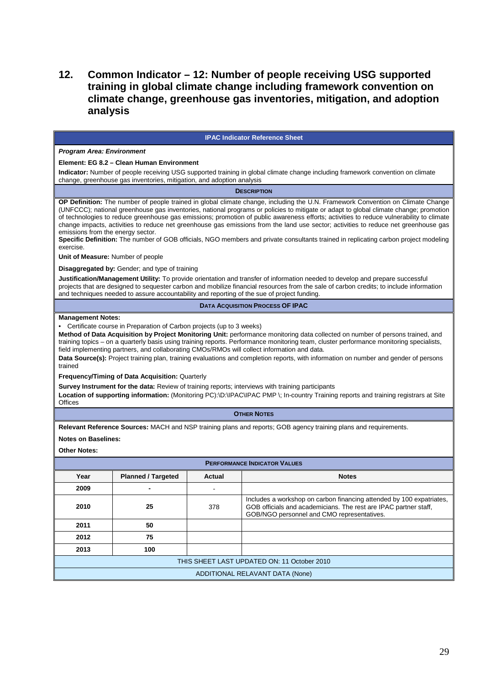# **12. Common Indicator – 12: Number of people receiving USG supported training in global climate change including framework convention on climate change, greenhouse gas inventories, mitigation, and adoption analysis**

#### **IPAC Indicator Reference Sheet Program Area: Environment Element: EG 8.2 – Clean Human Environment Indicator:** Number of people receiving USG supported training in global climate change including framework convention on climate change, greenhouse gas inventories, mitigation, and adoption analysis **DESCRIPTION OP Definition:** The number of people trained in global climate change, including the U.N. Framework Convention on Climate Change (UNFCCC); national greenhouse gas inventories, national programs or policies to mitigate or adapt to global climate change; promotion of technologies to reduce greenhouse gas emissions; promotion of public awareness efforts; activities to reduce vulnerability to climate change impacts, activities to reduce net greenhouse gas emissions from the land use sector; activities to reduce net greenhouse gas emissions from the energy sector. **Specific Definition:** The number of GOB officials, NGO members and private consultants trained in replicating carbon project modeling exercise. **Unit of Measure:** Number of people **Disaggregated by:** Gender; and type of training **Justification/Management Utility:** To provide orientation and transfer of information needed to develop and prepare successful projects that are designed to sequester carbon and mobilize financial resources from the sale of carbon credits; to include information and techniques needed to assure accountability and reporting of the sue of project funding. **DATA ACQUISITION PROCESS OF IPAC Management Notes:**  • Certificate course in Preparation of Carbon projects (up to 3 weeks) **Method of Data Acquisition by Project Monitoring Unit:** performance monitoring data collected on number of persons trained, and training topics – on a quarterly basis using training reports. Performance monitoring team, cluster performance monitoring specialists, field implementing partners, and collaborating CMOs/RMOs will collect information and data. **Data Source(s):** Project training plan, training evaluations and completion reports, with information on number and gender of persons trained **Frequency/Timing of Data Acquisition:** Quarterly **Survey Instrument for the data:** Review of training reports; interviews with training participants Location of supporting information: (Monitoring PC):\D:\IPAC\IPAC PMP \; In-country Training reports and training registrars at Site **Offices OTHER NOTES Relevant Reference Sources:** MACH and NSP training plans and reports; GOB agency training plans and requirements. **Notes on Baselines: Other Notes: PERFORMANCE INDICATOR VALUES Year** Planned / Targeted **Actual Notes Notes 2009 -** - **2010 25** 378 Includes a workshop on carbon financing attended by 100 expatriates, GOB officials and academicians. The rest are IPAC partner staff, GOB/NGO personnel and CMO representatives. **2011 50 2012 75 2013 100**  THIS SHEET LAST UPDATED ON: 11 October 2010 ADDITIONAL RELAVANT DATA (None)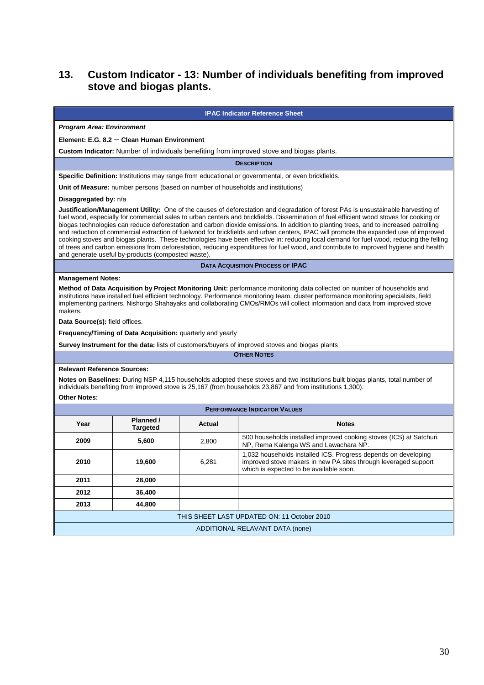# **13. Custom Indicator - 13: Number of individuals benefiting from improved stove and biogas plants.**

#### **IPAC Indicator Reference Sheet**

### **Program Area: Environment**

#### **Element: E.G. 8.2 – Clean Human Environment**

**Custom Indicator:** Number of individuals benefiting from improved stove and biogas plants.

**DESCRIPTION**

**Specific Definition:** Institutions may range from educational or governmental, or even brickfields.

**Unit of Measure:** number persons (based on number of households and institutions)

#### **Disaggregated by:** n/a

**Justification/Management Utility:** One of the causes of deforestation and degradation of forest PAs is unsustainable harvesting of fuel wood, especially for commercial sales to urban centers and brickfields. Dissemination of fuel efficient wood stoves for cooking or biogas technologies can reduce deforestation and carbon dioxide emissions. In addition to planting trees, and to increased patrolling and reduction of commercial extraction of fuelwood for brickfields and urban centers, IPAC will promote the expanded use of improved cooking stoves and biogas plants. These technologies have been effective in: reducing local demand for fuel wood, reducing the felling of trees and carbon emissions from deforestation, reducing expenditures for fuel wood, and contribute to improved hygiene and health and generate useful by-products (composted waste).

**DATA ACQUISITION PROCESS OF IPAC** 

#### **Management Notes:**

**Method of Data Acquisition by Project Monitoring Unit:** performance monitoring data collected on number of households and institutions have installed fuel efficient technology. Performance monitoring team, cluster performance monitoring specialists, field implementing partners, Nishorgo Shahayaks and collaborating CMOs/RMOs will collect information and data from improved stove makers.

**Data Source(s):** field offices.

**Frequency/Timing of Data Acquisition:** quarterly and yearly

**Survey Instrument for the data:** lists of customers/buyers of improved stoves and biogas plants

**OTHER NOTES**

#### **Relevant Reference Sources:**

**Notes on Baselines:** During NSP 4,115 households adopted these stoves and two institutions built biogas plants, total number of individuals benefiting from improved stove is 25,167 (from households 23,867 and from institutions 1,300).

#### **Other Notes:**

| <b>PERFORMANCE INDICATOR VALUES</b>         |                              |        |                                                                                                                                                                              |  |
|---------------------------------------------|------------------------------|--------|------------------------------------------------------------------------------------------------------------------------------------------------------------------------------|--|
| Year                                        | Planned /<br><b>Targeted</b> | Actual | <b>Notes</b>                                                                                                                                                                 |  |
| 2009                                        | 5,600                        | 2,800  | 500 households installed improved cooking stoves (ICS) at Satchuri<br>NP, Rema Kalenga WS and Lawachara NP.                                                                  |  |
| 2010                                        | 19,600                       | 6.281  | 1,032 households installed ICS. Progress depends on developing<br>improved stove makers in new PA sites through leveraged support<br>which is expected to be available soon. |  |
| 2011                                        | 28,000                       |        |                                                                                                                                                                              |  |
| 2012                                        | 36,400                       |        |                                                                                                                                                                              |  |
| 2013                                        | 44,800                       |        |                                                                                                                                                                              |  |
| THIS SHEET LAST UPDATED ON: 11 October 2010 |                              |        |                                                                                                                                                                              |  |
| ADDITIONAL RELAVANT DATA (none)             |                              |        |                                                                                                                                                                              |  |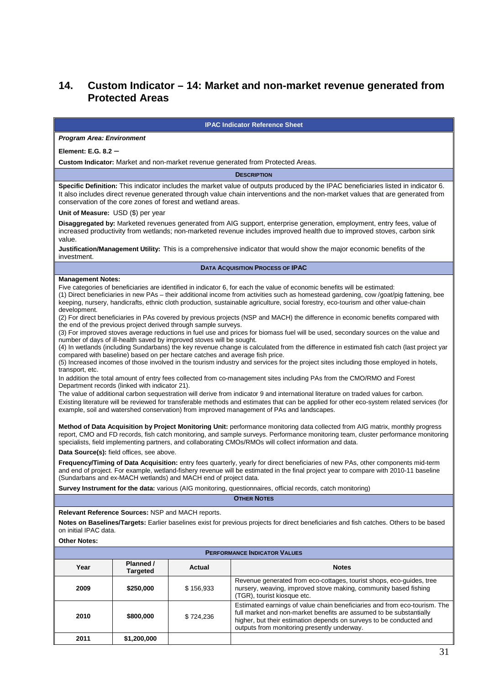# **14. Custom Indicator – 14: Market and non-market revenue generated from Protected Areas**

#### **IPAC Indicator Reference Sheet**

#### **Program Area: Environment**

**Element: E.G. 8.2 –** 

**Custom Indicator:** Market and non-market revenue generated from Protected Areas.

**DESCRIPTION**

**Specific Definition:** This indicator includes the market value of outputs produced by the IPAC beneficiaries listed in indicator 6. It also includes direct revenue generated through value chain interventions and the non-market values that are generated from conservation of the core zones of forest and wetland areas.

**Unit of Measure:** USD (\$) per year

**Disaggregated by:** Marketed revenues generated from AIG support, enterprise generation, employment, entry fees, value of increased productivity from wetlands; non-marketed revenue includes improved health due to improved stoves, carbon sink value.

**Justification/Management Utility:** This is a comprehensive indicator that would show the major economic benefits of the investment.

#### **DATA ACQUISITION PROCESS OF IPAC**

#### **Management Notes:**

Five categories of beneficiaries are identified in indicator 6, for each the value of economic benefits will be estimated:

(1) Direct beneficiaries in new PAs – their additional income from activities such as homestead gardening, cow /goat/pig fattening, bee keeping, nursery, handicrafts, ethnic cloth production, sustainable agriculture, social forestry, eco-tourism and other value-chain development.

(2) For direct beneficiaries in PAs covered by previous projects (NSP and MACH) the difference in economic benefits compared with the end of the previous project derived through sample surveys.

(3) For improved stoves average reductions in fuel use and prices for biomass fuel will be used, secondary sources on the value and number of days of ill-health saved by improved stoves will be sought.

(4) In wetlands (including Sundarbans) the key revenue change is calculated from the difference in estimated fish catch (last project yar compared with baseline) based on per hectare catches and average fish price.

(5) Increased incomes of those involved in the tourism industry and services for the project sites including those employed in hotels, transport, etc.

In addition the total amount of entry fees collected from co-management sites including PAs from the CMO/RMO and Forest Department records (linked with indicator 21).

The value of additional carbon sequestration will derive from indicator 9 and international literature on traded values for carbon. Existing literature will be reviewed for transferable methods and estimates that can be applied for other eco-system related services (for example, soil and watershed conservation) from improved management of PAs and landscapes.

**Method of Data Acquisition by Project Monitoring Unit:** performance monitoring data collected from AIG matrix, monthly progress report, CMO and FD records, fish catch monitoring, and sample surveys. Performance monitoring team, cluster performance monitoring specialists, field implementing partners, and collaborating CMOs/RMOs will collect information and data.

**Data Source(s):** field offices, see above.

**Frequency/Timing of Data Acquisition:** entry fees quarterly, yearly for direct beneficiaries of new PAs, other components mid-term and end of project. For example, wetland-fishery revenue will be estimated in the final project year to compare with 2010-11 baseline (Sundarbans and ex-MACH wetlands) and MACH end of project data.

**Survey Instrument for the data:** various (AIG monitoring, questionnaires, official records, catch monitoring)

**OTHER NOTES**

#### **Relevant Reference Sources:** NSP and MACH reports.

**Notes on Baselines/Targets:** Earlier baselines exist for previous projects for direct beneficiaries and fish catches. Others to be based on initial IPAC data.

#### **Other Notes:**

| <b>PERFORMANCE INDICATOR VALUES</b> |                              |           |                                                                                                                                                                                                                                                                        |
|-------------------------------------|------------------------------|-----------|------------------------------------------------------------------------------------------------------------------------------------------------------------------------------------------------------------------------------------------------------------------------|
| Year                                | Planned /<br><b>Targeted</b> | Actual    | <b>Notes</b>                                                                                                                                                                                                                                                           |
| 2009                                | \$250,000                    | \$156.933 | Revenue generated from eco-cottages, tourist shops, eco-guides, tree<br>nursery, weaving, improved stove making, community based fishing<br>(TGR), tourist kiosque etc.                                                                                                |
| 2010                                | \$800,000                    | \$724.236 | Estimated earnings of value chain beneficiaries and from eco-tourism. The<br>full market and non-market benefits are assumed to be substantially<br>higher, but their estimation depends on surveys to be conducted and<br>outputs from monitoring presently underway. |
| 2011                                | \$1,200,000                  |           |                                                                                                                                                                                                                                                                        |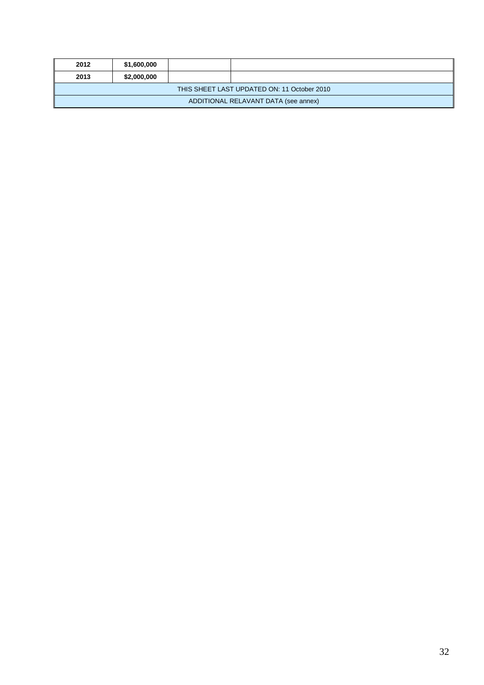| 2012                                        | \$1,600,000 |  |  |  |  |
|---------------------------------------------|-------------|--|--|--|--|
| 2013                                        | \$2,000,000 |  |  |  |  |
| THIS SHEET LAST UPDATED ON: 11 October 2010 |             |  |  |  |  |
| ADDITIONAL RELAVANT DATA (see annex)        |             |  |  |  |  |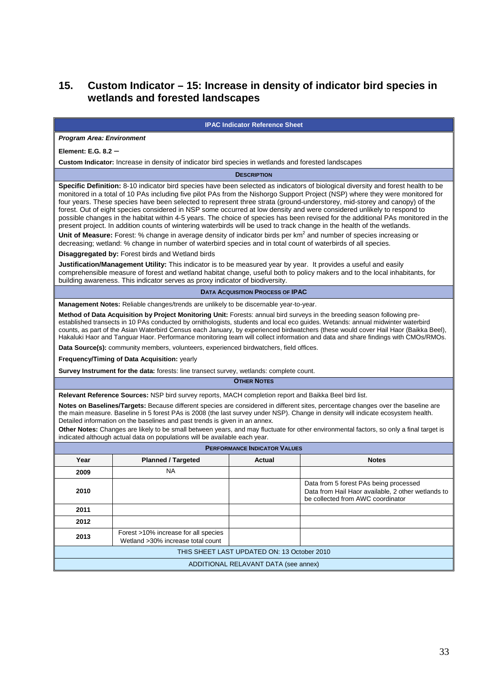# **15. Custom Indicator – 15: Increase in density of indicator bird species in wetlands and forested landscapes**

#### **IPAC Indicator Reference Sheet**

#### **Program Area: Environment**

**Element: E.G. 8.2 –** 

**Custom Indicator:** Increase in density of indicator bird species in wetlands and forested landscapes

**DESCRIPTION**

**Specific Definition:** 8-10 indicator bird species have been selected as indicators of biological diversity and forest health to be monitored in a total of 10 PAs including five pilot PAs from the Nishorgo Support Project (NSP) where they were monitored for four years. These species have been selected to represent three strata (ground-understorey, mid-storey and canopy) of the forest. Out of eight species considered in NSP some occurred at low density and were considered unlikely to respond to possible changes in the habitat within 4-5 years. The choice of species has been revised for the additional PAs monitored in the present project. In addition counts of wintering waterbirds will be used to track change in the health of the wetlands.

Unit of Measure: Forest: % change in average density of indicator birds per km<sup>2</sup> and number of species increasing or decreasing; wetland: % change in number of waterbird species and in total count of waterbirds of all species.

**Disaggregated by:** Forest birds and Wetland birds

**Justification/Management Utility:** This indicator is to be measured year by year. It provides a useful and easily comprehensible measure of forest and wetland habitat change, useful both to policy makers and to the local inhabitants, for building awareness. This indicator serves as proxy indicator of biodiversity.

**DATA ACQUISITION PROCESS OF IPAC** 

**Management Notes:** Reliable changes/trends are unlikely to be discernable year-to-year.

**Method of Data Acquisition by Project Monitoring Unit:** Forests: annual bird surveys in the breeding season following preestablished transects in 10 PAs conducted by ornithologists, students and local eco guides. Wetands: annual midwinter waterbird counts, as part of the Asian Waterbird Census each January, by experienced birdwatchers (these would cover Hail Haor (Baikka Beel), Hakaluki Haor and Tanguar Haor. Performance monitoring team will collect information and data and share findings with CMOs/RMOs.

**Data Source(s):** community members, volunteers, experienced birdwatchers, field offices.

**Frequency/Timing of Data Acquisition:** yearly

**Survey Instrument for the data:** forests: line transect survey, wetlands: complete count.

**OTHER NOTES**

**Relevant Reference Sources:** NSP bird survey reports, MACH completion report and Baikka Beel bird list.

**Notes on Baselines/Targets:** Because different species are considered in different sites, percentage changes over the baseline are the main measure. Baseline in 5 forest PAs is 2008 (the last survey under NSP). Change in density will indicate ecosystem health. Detailed information on the baselines and past trends is given in an annex.

**Other Notes:** Changes are likely to be small between years, and may fluctuate for other environmental factors, so only a final target is indicated although actual data on populations will be available each year.

| <b>PERFORMANCE INDICATOR VALUES</b>         |                                                                           |               |                                                                                                                                   |  |  |
|---------------------------------------------|---------------------------------------------------------------------------|---------------|-----------------------------------------------------------------------------------------------------------------------------------|--|--|
| Year                                        | <b>Planned / Targeted</b>                                                 | <b>Actual</b> | <b>Notes</b>                                                                                                                      |  |  |
| 2009                                        | NA                                                                        |               |                                                                                                                                   |  |  |
| 2010                                        |                                                                           |               | Data from 5 forest PAs being processed<br>Data from Hail Haor available, 2 other wetlands to<br>be collected from AWC coordinator |  |  |
| 2011                                        |                                                                           |               |                                                                                                                                   |  |  |
| 2012                                        |                                                                           |               |                                                                                                                                   |  |  |
| 2013                                        | Forest >10% increase for all species<br>Wetland >30% increase total count |               |                                                                                                                                   |  |  |
| THIS SHEET LAST UPDATED ON: 13 October 2010 |                                                                           |               |                                                                                                                                   |  |  |
| ADDITIONAL RELAVANT DATA (see annex)        |                                                                           |               |                                                                                                                                   |  |  |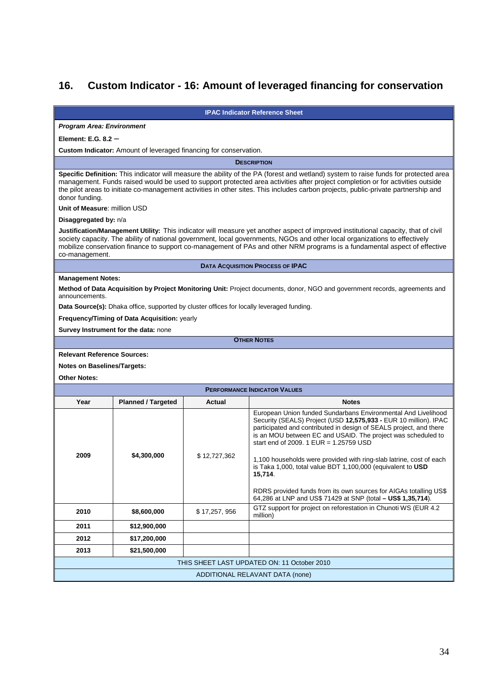# **16. Custom Indicator - 16: Amount of leveraged financing for conservation**

**IPAC Indicator Reference Sheet** 

#### **Program Area: Environment**

**Element: E.G. 8.2 –** 

**Custom Indicator:** Amount of leveraged financing for conservation.

**DESCRIPTION**

**Specific Definition:** This indicator will measure the ability of the PA (forest and wetland) system to raise funds for protected area management. Funds raised would be used to support protected area activities after project completion or for activities outside the pilot areas to initiate co-management activities in other sites. This includes carbon projects, public-private partnership and donor funding.

**Unit of Measure**: million USD

#### **Disaggregated by:** n/a

**Justification/Management Utility:** This indicator will measure yet another aspect of improved institutional capacity, that of civil society capacity. The ability of national government, local governments, NGOs and other local organizations to effectively mobilize conservation finance to support co-management of PAs and other NRM programs is a fundamental aspect of effective co-management.

**DATA ACQUISITION PROCESS OF IPAC** 

#### **Management Notes:**

**Method of Data Acquisition by Project Monitoring Unit:** Project documents, donor, NGO and government records, agreements and announcements.

**Data Source(s):** Dhaka office, supported by cluster offices for locally leveraged funding.

**Frequency/Timing of Data Acquisition:** yearly

**Survey Instrument for the data:** none

**OTHER NOTES**

#### **Relevant Reference Sources:**

**Notes on Baselines/Targets:**

**Other Notes:**

| <b>PERFORMANCE INDICATOR VALUES</b>         |                           |              |                                                                                                                                                                                                                                                                                                                                                                                                                                                                                                                                           |  |
|---------------------------------------------|---------------------------|--------------|-------------------------------------------------------------------------------------------------------------------------------------------------------------------------------------------------------------------------------------------------------------------------------------------------------------------------------------------------------------------------------------------------------------------------------------------------------------------------------------------------------------------------------------------|--|
| Year                                        | <b>Planned / Targeted</b> | Actual       | <b>Notes</b>                                                                                                                                                                                                                                                                                                                                                                                                                                                                                                                              |  |
| 2009                                        | \$4,300,000               | \$12,727,362 | European Union funded Sundarbans Environmental And Livelihood<br>Security (SEALS) Project (USD 12,575,933 - EUR 10 million). IPAC<br>participated and contributed in design of SEALS project, and there<br>is an MOU between EC and USAID. The project was scheduled to<br>start end of 2009. 1 $EUR = 1.25759$ USD<br>1,100 households were provided with ring-slab latrine, cost of each<br>is Taka 1,000, total value BDT 1,100,000 (equivalent to USD<br>15,714.<br>RDRS provided funds from its own sources for AIGAs totalling US\$ |  |
|                                             |                           |              | 64,286 at LNP and US\$ 71429 at SNP (total - US\$ 1,35,714).                                                                                                                                                                                                                                                                                                                                                                                                                                                                              |  |
| 2010                                        | \$8,600,000               | \$17,257,956 | GTZ support for project on reforestation in Chunoti WS (EUR 4.2)<br>million)                                                                                                                                                                                                                                                                                                                                                                                                                                                              |  |
| 2011                                        | \$12,900,000              |              |                                                                                                                                                                                                                                                                                                                                                                                                                                                                                                                                           |  |
| 2012                                        | \$17,200,000              |              |                                                                                                                                                                                                                                                                                                                                                                                                                                                                                                                                           |  |
| 2013                                        | \$21,500,000              |              |                                                                                                                                                                                                                                                                                                                                                                                                                                                                                                                                           |  |
| THIS SHEET LAST UPDATED ON: 11 October 2010 |                           |              |                                                                                                                                                                                                                                                                                                                                                                                                                                                                                                                                           |  |
| ADDITIONAL RELAVANT DATA (none)             |                           |              |                                                                                                                                                                                                                                                                                                                                                                                                                                                                                                                                           |  |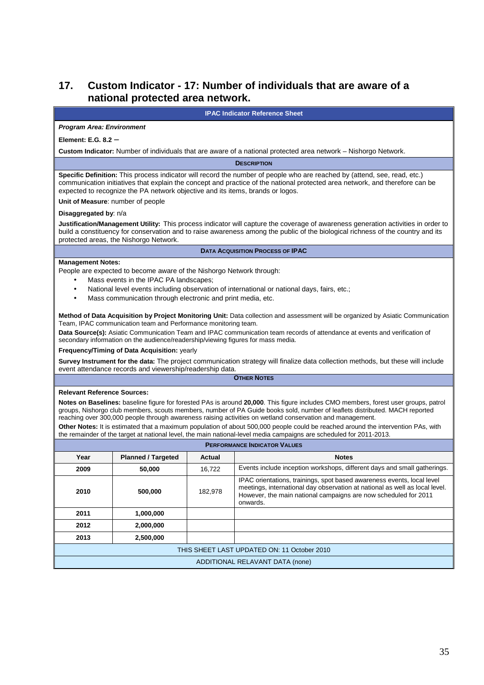## **17. Custom Indicator - 17: Number of individuals that are aware of a national protected area network.**

**IPAC Indicator Reference Sheet** 

#### **Program Area: Environment**

**Element: E.G. 8.2 –** 

**Custom Indicator:** Number of individuals that are aware of a national protected area network – Nishorgo Network.

**DESCRIPTION**

**Specific Definition:** This process indicator will record the number of people who are reached by (attend, see, read, etc.) communication initiatives that explain the concept and practice of the national protected area network, and therefore can be expected to recognize the PA network objective and its items, brands or logos.

**Unit of Measure**: number of people

#### **Disaggregated by**: n/a

**Justification/Management Utility:** This process indicator will capture the coverage of awareness generation activities in order to build a constituency for conservation and to raise awareness among the public of the biological richness of the country and its protected areas, the Nishorgo Network.

#### **DATA ACQUISITION PROCESS OF IPAC**

#### **Management Notes:**

People are expected to become aware of the Nishorgo Network through:

- Mass events in the IPAC PA landscapes;
- National level events including observation of international or national days, fairs, etc.;
- Mass communication through electronic and print media, etc.

**Method of Data Acquisition by Project Monitoring Unit:** Data collection and assessment will be organized by Asiatic Communication Team, IPAC communication team and Performance monitoring team.

**Data Source(s):** Asiatic Communication Team and IPAC communication team records of attendance at events and verification of secondary information on the audience/readership/viewing figures for mass media.

#### **Frequency/Timing of Data Acquisition:** yearly

**Survey Instrument for the data:** The project communication strategy will finalize data collection methods, but these will include event attendance records and viewership/readership data.

#### **OTHER NOTES**

#### **Relevant Reference Sources:**

**Notes on Baselines:** baseline figure for forested PAs is around **20,000**. This figure includes CMO members, forest user groups, patrol groups, Nishorgo club members, scouts members, number of PA Guide books sold, number of leaflets distributed. MACH reported reaching over 300,000 people through awareness raising activities on wetland conservation and management.

**Other Notes:** It is estimated that a maximum population of about 500,000 people could be reached around the intervention PAs, with the remainder of the target at national level, the main national-level media campaigns are scheduled for 2011-2013.

| <b>PERFORMANCE INDICATOR VALUES</b>         |                           |         |                                                                                                                                                                                                                                      |  |
|---------------------------------------------|---------------------------|---------|--------------------------------------------------------------------------------------------------------------------------------------------------------------------------------------------------------------------------------------|--|
| Year                                        | <b>Planned / Targeted</b> | Actual  | <b>Notes</b>                                                                                                                                                                                                                         |  |
| 2009                                        | 50,000                    | 16.722  | Events include inception workshops, different days and small gatherings.                                                                                                                                                             |  |
| 2010                                        | 500,000                   | 182,978 | IPAC orientations, trainings, spot based awareness events, local level<br>meetings, international day observation at national as well as local level.<br>However, the main national campaigns are now scheduled for 2011<br>onwards. |  |
| 2011                                        | 1,000,000                 |         |                                                                                                                                                                                                                                      |  |
| 2012                                        | 2,000,000                 |         |                                                                                                                                                                                                                                      |  |
| 2013                                        | 2,500,000                 |         |                                                                                                                                                                                                                                      |  |
| THIS SHEET LAST UPDATED ON: 11 October 2010 |                           |         |                                                                                                                                                                                                                                      |  |
| ADDITIONAL RELAVANT DATA (none)             |                           |         |                                                                                                                                                                                                                                      |  |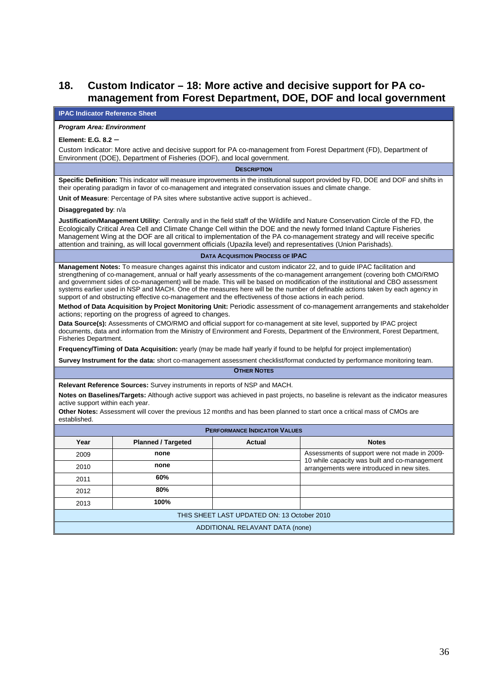## **18. Custom Indicator – 18: More active and decisive support for PA comanagement from Forest Department, DOE, DOF and local government**

#### **IPAC Indicator Reference Sheet**

#### **Program Area: Environment**

#### **Element: E.G. 8.2 –**

Custom Indicator: More active and decisive support for PA co-management from Forest Department (FD), Department of Environment (DOE), Department of Fisheries (DOF), and local government.

#### **DESCRIPTION**

**Specific Definition:** This indicator will measure improvements in the institutional support provided by FD, DOE and DOF and shifts in their operating paradigm in favor of co-management and integrated conservation issues and climate change.

**Unit of Measure**: Percentage of PA sites where substantive active support is achieved..

#### **Disaggregated by**: n/a

**Justification/Management Utility:** Centrally and in the field staff of the Wildlife and Nature Conservation Circle of the FD, the Ecologically Critical Area Cell and Climate Change Cell within the DOE and the newly formed Inland Capture Fisheries Management Wing at the DOF are all critical to implementation of the PA co-management strategy and will receive specific attention and training, as will local government officials (Upazila level) and representatives (Union Parishads).

#### **DATA ACQUISITION PROCESS OF IPAC**

**Management Notes:** To measure changes against this indicator and custom indicator 22, and to guide IPAC facilitation and strengthening of co-management, annual or half yearly assessments of the co-management arrangement (covering both CMO/RMO and government sides of co-management) will be made. This will be based on modification of the institutional and CBO assessment systems earlier used in NSP and MACH. One of the measures here will be the number of definable actions taken by each agency in support of and obstructing effective co-management and the effectiveness of those actions in each period.

**Method of Data Acquisition by Project Monitoring Unit:** Periodic assessment of co-management arrangements and stakeholder actions; reporting on the progress of agreed to changes.

**Data Source(s):** Assessments of CMO/RMO and official support for co-management at site level, supported by IPAC project documents, data and information from the Ministry of Environment and Forests, Department of the Environment, Forest Department, Fisheries Department.

**Frequency/Timing of Data Acquisition:** yearly (may be made half yearly if found to be helpful for project implementation)

**Survey Instrument for the data:** short co-management assessment checklist/format conducted by performance monitoring team. **OTHER NOTES**

**Relevant Reference Sources:** Survey instruments in reports of NSP and MACH.

**Notes on Baselines/Targets:** Although active support was achieved in past projects, no baseline is relevant as the indicator measures active support within each year.

**Other Notes:** Assessment will cover the previous 12 months and has been planned to start once a critical mass of CMOs are established.

| <b>PERFORMANCE INDICATOR VALUES</b>         |                           |               |                                                                                                |  |  |
|---------------------------------------------|---------------------------|---------------|------------------------------------------------------------------------------------------------|--|--|
| Year                                        | <b>Planned / Targeted</b> | <b>Actual</b> | <b>Notes</b>                                                                                   |  |  |
| 2009                                        | none                      |               | Assessments of support were not made in 2009-<br>10 while capacity was built and co-management |  |  |
| 2010                                        | none                      |               | arrangements were introduced in new sites.                                                     |  |  |
| 2011                                        | 60%                       |               |                                                                                                |  |  |
| 2012                                        | 80%                       |               |                                                                                                |  |  |
| 2013                                        | 100%                      |               |                                                                                                |  |  |
| THIS SHEET LAST UPDATED ON: 13 October 2010 |                           |               |                                                                                                |  |  |
| ADDITIONAL RELAVANT DATA (none)             |                           |               |                                                                                                |  |  |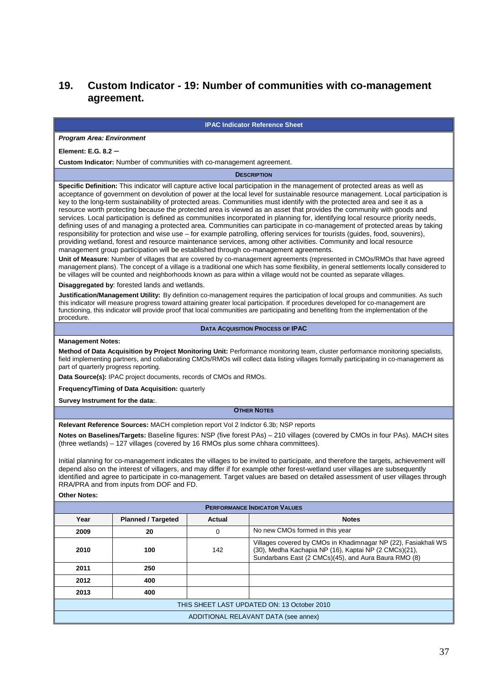# **19. Custom Indicator - 19: Number of communities with co-management agreement.**

#### **IPAC Indicator Reference Sheet**

#### **Program Area: Environment**

**Element: E.G. 8.2 –** 

**Custom Indicator:** Number of communities with co-management agreement.

**DESCRIPTION**

**Specific Definition:** This indicator will capture active local participation in the management of protected areas as well as acceptance of government on devolution of power at the local level for sustainable resource management. Local participation is key to the long-term sustainability of protected areas. Communities must identify with the protected area and see it as a resource worth protecting because the protected area is viewed as an asset that provides the community with goods and services. Local participation is defined as communities incorporated in planning for, identifying local resource priority needs, defining uses of and managing a protected area. Communities can participate in co-management of protected areas by taking responsibility for protection and wise use – for example patrolling, offering services for tourists (guides, food, souvenirs), providing wetland, forest and resource maintenance services, among other activities. Community and local resource management group participation will be established through co-management agreements.

**Unit of Measure**: Number of villages that are covered by co-management agreements (represented in CMOs/RMOs that have agreed management plans). The concept of a village is a traditional one which has some flexibility, in general settlements locally considered to be villages will be counted and neighborhoods known as para within a village would not be counted as separate villages.

**Disaggregated by**: forested lands and wetlands.

**Justification/Management Utility:** By definition co-management requires the participation of local groups and communities. As such this indicator will measure progress toward attaining greater local participation. If procedures developed for co-management are functioning, this indicator will provide proof that local communities are participating and benefiting from the implementation of the procedure.

**DATA ACQUISITION PROCESS OF IPAC** 

#### **Management Notes:**

**Method of Data Acquisition by Project Monitoring Unit:** Performance monitoring team, cluster performance monitoring specialists, field implementing partners, and collaborating CMOs/RMOs will collect data listing villages formally participating in co-management as part of quarterly progress reporting.

**Data Source(s):** IPAC project documents, records of CMOs and RMOs.

**Frequency/Timing of Data Acquisition:** quarterly

**Survey Instrument for the data:**.

#### **OTHER NOTES**

**Relevant Reference Sources:** MACH completion report Vol 2 Indictor 6.3b; NSP reports

**Notes on Baselines/Targets:** Baseline figures: NSP (five forest PAs) – 210 villages (covered by CMOs in four PAs). MACH sites (three wetlands) – 127 villages (covered by 16 RMOs plus some chhara committees).

Initial planning for co-management indicates the villages to be invited to participate, and therefore the targets, achievement will depend also on the interest of villagers, and may differ if for example other forest-wetland user villages are subsequently identified and agree to participate in co-management. Target values are based on detailed assessment of user villages through RRA/PRA and from inputs from DOF and FD.

#### **Other Notes:**

| <b>PERFORMANCE INDICATOR VALUES</b>         |                           |        |                                                                                                                                                                                 |  |
|---------------------------------------------|---------------------------|--------|---------------------------------------------------------------------------------------------------------------------------------------------------------------------------------|--|
| Year                                        | <b>Planned / Targeted</b> | Actual | <b>Notes</b>                                                                                                                                                                    |  |
| 2009                                        | 20                        | 0      | No new CMOs formed in this year                                                                                                                                                 |  |
| 2010                                        | 100                       | 142    | Villages covered by CMOs in Khadimnagar NP (22), Fasiakhali WS<br>(30), Medha Kachapia NP (16), Kaptai NP (2 CMCs)(21),<br>Sundarbans East (2 CMCs)(45), and Aura Baura RMO (8) |  |
| 2011                                        | 250                       |        |                                                                                                                                                                                 |  |
| 2012                                        | 400                       |        |                                                                                                                                                                                 |  |
| 2013<br>400                                 |                           |        |                                                                                                                                                                                 |  |
| THIS SHEET LAST UPDATED ON: 13 October 2010 |                           |        |                                                                                                                                                                                 |  |
| ADDITIONAL RELAVANT DATA (see annex)        |                           |        |                                                                                                                                                                                 |  |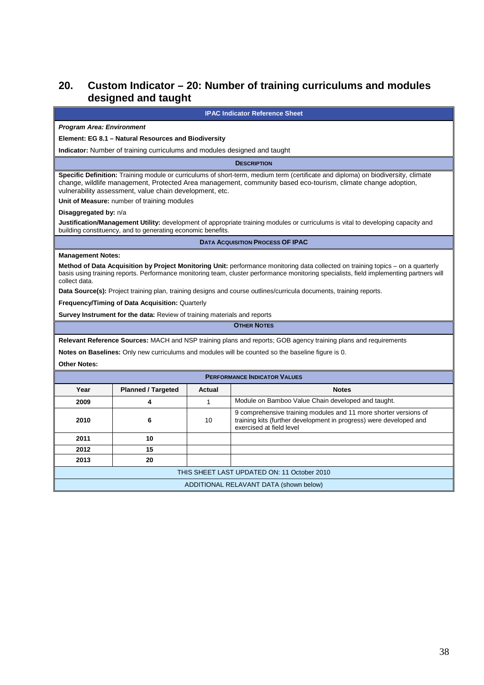# **20. Custom Indicator – 20: Number of training curriculums and modules designed and taught**

**IPAC Indicator Reference Sheet** 

#### **Program Area: Environment**

#### **Element: EG 8.1 – Natural Resources and Biodiversity**

**Indicator:** Number of training curriculums and modules designed and taught

**DESCRIPTION**

**Specific Definition:** Training module or curriculums of short-term, medium term (certificate and diploma) on biodiversity, climate change, wildlife management, Protected Area management, community based eco-tourism, climate change adoption, vulnerability assessment, value chain development, etc.

**Unit of Measure:** number of training modules

#### **Disaggregated by:** n/a

**Justification/Management Utility:** development of appropriate training modules or curriculums is vital to developing capacity and building constituency, and to generating economic benefits.

**DATA ACQUISITION PROCESS OF IPAC** 

#### **Management Notes:**

**Method of Data Acquisition by Project Monitoring Unit:** performance monitoring data collected on training topics – on a quarterly basis using training reports. Performance monitoring team, cluster performance monitoring specialists, field implementing partners will collect data.

**Data Source(s):** Project training plan, training designs and course outlines/curricula documents, training reports.

**Frequency/Timing of Data Acquisition:** Quarterly

**Survey Instrument for the data:** Review of training materials and reports

**OTHER NOTES**

**Relevant Reference Sources:** MACH and NSP training plans and reports; GOB agency training plans and requirements

**Notes on Baselines:** Only new curriculums and modules will be counted so the baseline figure is 0.

**Other Notes:**

| <b>PERFORMANCE INDICATOR VALUES</b>         |                           |        |                                                                                                                                                                    |  |
|---------------------------------------------|---------------------------|--------|--------------------------------------------------------------------------------------------------------------------------------------------------------------------|--|
| Year                                        | <b>Planned / Targeted</b> | Actual | <b>Notes</b>                                                                                                                                                       |  |
| 2009                                        |                           |        | Module on Bamboo Value Chain developed and taught.                                                                                                                 |  |
| 2010                                        | 6                         | 10     | 9 comprehensive training modules and 11 more shorter versions of<br>training kits (further development in progress) were developed and<br>exercised at field level |  |
| 2011                                        | 10                        |        |                                                                                                                                                                    |  |
| 2012                                        | 15                        |        |                                                                                                                                                                    |  |
| 2013                                        | 20                        |        |                                                                                                                                                                    |  |
| THIS SHEET LAST UPDATED ON: 11 October 2010 |                           |        |                                                                                                                                                                    |  |
| ADDITIONAL RELAVANT DATA (shown below)      |                           |        |                                                                                                                                                                    |  |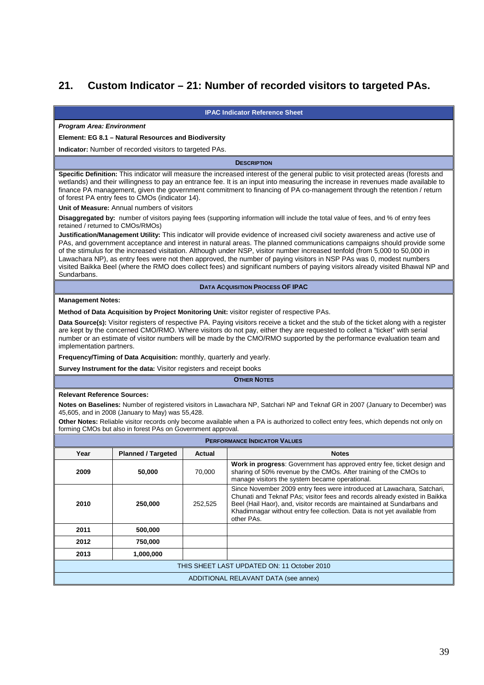# **21. Custom Indicator – 21: Number of recorded visitors to targeted PAs.**

**IPAC Indicator Reference Sheet** 

#### **Program Area: Environment**

#### **Element: EG 8.1 – Natural Resources and Biodiversity**

**Indicator:** Number of recorded visitors to targeted PAs.

**DESCRIPTION**

**Specific Definition:** This indicator will measure the increased interest of the general public to visit protected areas (forests and wetlands) and their willingness to pay an entrance fee. It is an input into measuring the increase in revenues made available to finance PA management, given the government commitment to financing of PA co-management through the retention / return of forest PA entry fees to CMOs (indicator 14).

**Unit of Measure:** Annual numbers of visitors

**Disaggregated by:** number of visitors paying fees (supporting information will include the total value of fees, and % of entry fees retained / returned to CMOs/RMOs)

**Justification/Management Utility:** This indicator will provide evidence of increased civil society awareness and active use of PAs, and government acceptance and interest in natural areas. The planned communications campaigns should provide some of the stimulus for the increased visitation. Although under NSP, visitor number increased tenfold (from 5,000 to 50,000 in Lawachara NP), as entry fees were not then approved, the number of paying visitors in NSP PAs was 0, modest numbers visited Baikka Beel (where the RMO does collect fees) and significant numbers of paying visitors already visited Bhawal NP and Sundarbans.

#### **DATA ACQUISITION PROCESS OF IPAC**

#### **Management Notes:**

**Method of Data Acquisition by Project Monitoring Unit:** visitor register of respective PAs.

**Data Source(s):** Visitor registers of respective PA. Paying visitors receive a ticket and the stub of the ticket along with a register are kept by the concerned CMO/RMO. Where visitors do not pay, either they are requested to collect a "ticket" with serial number or an estimate of visitor numbers will be made by the CMO/RMO supported by the performance evaluation team and implementation partners.

**Frequency/Timing of Data Acquisition:** monthly, quarterly and yearly.

**Survey Instrument for the data:** Visitor registers and receipt books

#### **OTHER NOTES**

#### **Relevant Reference Sources:**

**Notes on Baselines:** Number of registered visitors in Lawachara NP, Satchari NP and Teknaf GR in 2007 (January to December) was 45,605, and in 2008 (January to May) was 55,428.

**Other Notes:** Reliable visitor records only become available when a PA is authorized to collect entry fees, which depends not only on forming CMOs but also in forest PAs on Government approval.

| <b>PERFORMANCE INDICATOR VALUES</b>         |                           |         |                                                                                                                                                                                                                                                                                                                           |  |
|---------------------------------------------|---------------------------|---------|---------------------------------------------------------------------------------------------------------------------------------------------------------------------------------------------------------------------------------------------------------------------------------------------------------------------------|--|
| Year                                        | <b>Planned / Targeted</b> | Actual  | <b>Notes</b>                                                                                                                                                                                                                                                                                                              |  |
| 2009                                        | 50,000                    | 70.000  | Work in progress: Government has approved entry fee, ticket design and<br>sharing of 50% revenue by the CMOs. After training of the CMOs to<br>manage visitors the system became operational.                                                                                                                             |  |
| 2010                                        | 250,000                   | 252,525 | Since November 2009 entry fees were introduced at Lawachara, Satchari,<br>Chunati and Teknaf PAs; visitor fees and records already existed in Baikka<br>Beel (Hail Haor), and, visitor records are maintained at Sundarbans and<br>Khadimnagar without entry fee collection. Data is not yet available from<br>other PAs. |  |
| 2011                                        | 500,000                   |         |                                                                                                                                                                                                                                                                                                                           |  |
| 2012                                        | 750,000                   |         |                                                                                                                                                                                                                                                                                                                           |  |
| 2013                                        | 1,000,000                 |         |                                                                                                                                                                                                                                                                                                                           |  |
| THIS SHEET LAST UPDATED ON: 11 October 2010 |                           |         |                                                                                                                                                                                                                                                                                                                           |  |
| ADDITIONAL RELAVANT DATA (see annex)        |                           |         |                                                                                                                                                                                                                                                                                                                           |  |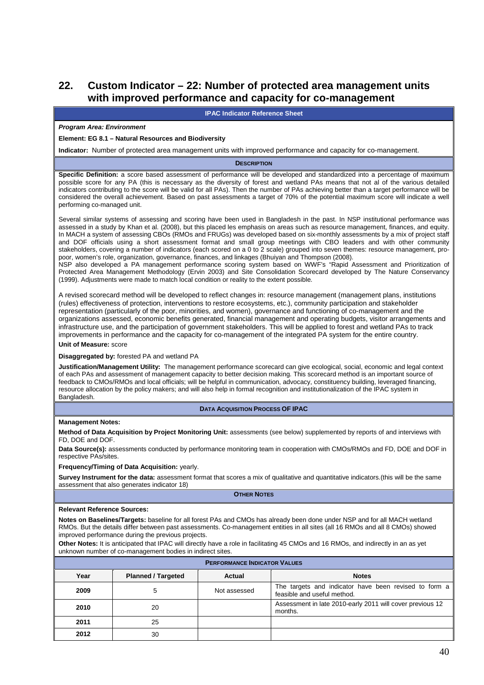## **22. Custom Indicator – 22: Number of protected area management units with improved performance and capacity for co-management**

**IPAC Indicator Reference Sheet** 

#### **Program Area: Environment**

#### **Element: EG 8.1 – Natural Resources and Biodiversity**

**Indicator:** Number of protected area management units with improved performance and capacity for co-management.

#### **DESCRIPTION**

**Specific Definition:** a score based assessment of performance will be developed and standardized into a percentage of maximum possible score for any PA (this is necessary as the diversity of forest and wetland PAs means that not al of the various detailed indicators contributing to the score will be valid for all PAs). Then the number of PAs achieving better than a target performance will be considered the overall achievement. Based on past assessments a target of 70% of the potential maximum score will indicate a well performing co-managed unit.

Several similar systems of assessing and scoring have been used in Bangladesh in the past. In NSP institutional performance was assessed in a study by Khan et al. (2008), but this placed les emphasis on areas such as resource management, finances, and equity. In MACH a system of assessing CBOs (RMOs and FRUGs) was developed based on six-monthly assessments by a mix of project staff and DOF officials using a short assessment format and small group meetings with CBO leaders and with other community stakeholders, covering a number of indicators (each scored on a 0 to 2 scale) grouped into seven themes: resource management, propoor, women's role, organization, governance, finances, and linkages (Bhuiyan and Thompson (2008). NSP also developed a PA management performance scoring system based on WWF's "Rapid Assessment and Prioritization of

Protected Area Management Methodology (Ervin 2003) and Site Consolidation Scorecard developed by The Nature Conservancy (1999). Adjustments were made to match local condition or reality to the extent possible.

A revised scorecard method will be developed to reflect changes in: resource management (management plans, institutions (rules) effectiveness of protection, interventions to restore ecosystems, etc.), community participation and stakeholder representation (particularly of the poor, minorities, and women), governance and functioning of co-management and the organizations assessed, economic benefits generated, financial management and operating budgets, visitor arrangements and infrastructure use, and the participation of government stakeholders. This will be applied to forest and wetland PAs to track improvements in performance and the capacity for co-management of the integrated PA system for the entire country.

#### **Unit of Measure:** score

#### **Disaggregated by:** forested PA and wetland PA

**Justification/Management Utility:** The management performance scorecard can give ecological, social, economic and legal context of each PAs and assessment of management capacity to better decision making. This scorecard method is an important source of feedback to CMOs/RMOs and local officials; will be helpful in communication, advocacy, constituency building, leveraged financing, resource allocation by the policy makers; and will also help in formal recognition and institutionalization of the IPAC system in Bangladesh.

#### **DATA ACQUISITION PROCESS OF IPAC**

#### **Management Notes:**

**Method of Data Acquisition by Project Monitoring Unit:** assessments (see below) supplemented by reports of and interviews with FD, DOE and DOF.

**Data Source(s):** assessments conducted by performance monitoring team in cooperation with CMOs/RMOs and FD, DOE and DOF in respective PAs/sites.

#### **Frequency/Timing of Data Acquisition:** yearly.

**Survey Instrument for the data:** assessment format that scores a mix of qualitative and quantitative indicators.(this will be the same assessment that also generates indicator 18)

**OTHER NOTES**

#### **Relevant Reference Sources:**

**Notes on Baselines/Targets:** baseline for all forest PAs and CMOs has already been done under NSP and for all MACH wetland RMOs. But the details differ between past assessments. Co-management entities in all sites (all 16 RMOs and all 8 CMOs) showed improved performance during the previous projects.

**Other Notes:** It is anticipated that IPAC will directly have a role in facilitating 45 CMOs and 16 RMOs, and indirectly in an as yet unknown number of co-management bodies in indirect sites.

| <b>PERFORMANCE INDICATOR VALUES</b> |                           |              |                                                                                      |  |  |
|-------------------------------------|---------------------------|--------------|--------------------------------------------------------------------------------------|--|--|
| Year                                | <b>Planned / Targeted</b> | Actual       | <b>Notes</b>                                                                         |  |  |
| 2009                                |                           | Not assessed | The targets and indicator have been revised to form a<br>feasible and useful method. |  |  |
| 2010                                | 20                        |              | Assessment in late 2010-early 2011 will cover previous 12<br>months.                 |  |  |
| 2011                                | 25                        |              |                                                                                      |  |  |
| 2012                                | 30                        |              |                                                                                      |  |  |